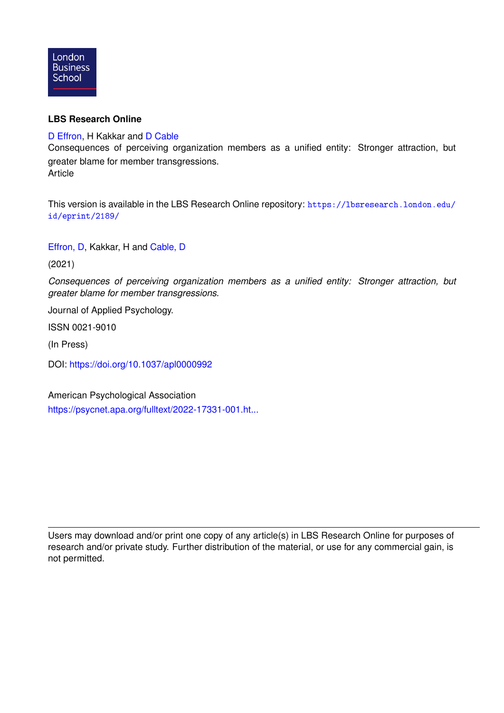

# **LBS Research Online**

[D Effron,](https://lbsresearch.london.edu/view/lbs_authors/2021233.html) H Kakkar and [D Cable](https://lbsresearch.london.edu/view/lbs_authors/1290269.html)

Consequences of perceiving organization members as a unified entity: Stronger attraction, but greater blame for member transgressions. Article

This version is available in the LBS Research Online repository: [https://lbsresearch.london.edu/](https://lbsresearch.london.edu/id/eprint/2189/) [id/eprint/2189/](https://lbsresearch.london.edu/id/eprint/2189/)

[Effron, D,](https://lbsresearch.london.edu/view/lbs_authors/2021233.html) Kakkar, H and [Cable, D](https://lbsresearch.london.edu/view/lbs_authors/1290269.html)

(2021)

*Consequences of perceiving organization members as a unified entity: Stronger attraction, but greater blame for member transgressions.*

Journal of Applied Psychology.

ISSN 0021-9010

(In Press)

DOI: <https://doi.org/10.1037/apl0000992>

American Psychological Association [https://psycnet.apa.org/fulltext/2022-17331-001.ht...](https://psycnet.apa.org/fulltext/2022-17331-001.html)

Users may download and/or print one copy of any article(s) in LBS Research Online for purposes of research and/or private study. Further distribution of the material, or use for any commercial gain, is not permitted.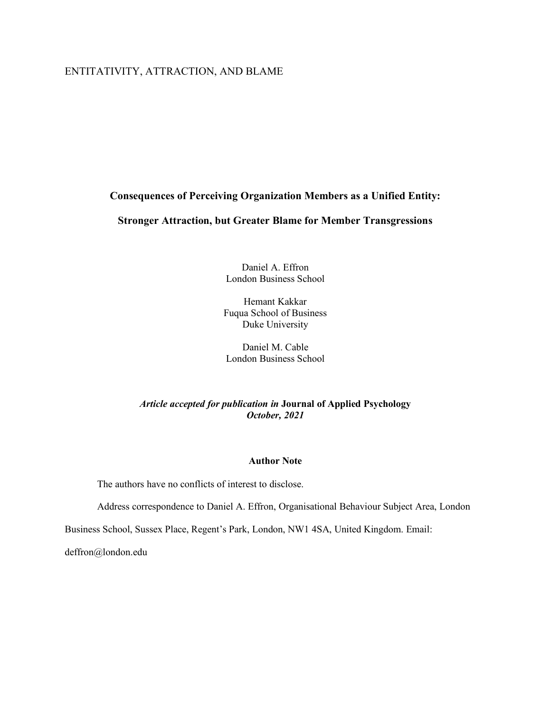# ENTITATIVITY, ATTRACTION, AND BLAME

# **Consequences of Perceiving Organization Members as a Unified Entity:**

# **Stronger Attraction, but Greater Blame for Member Transgressions**

Daniel A. Effron London Business School

Hemant Kakkar Fuqua School of Business Duke University

Daniel M. Cable London Business School

# *Article accepted for publication in* **Journal of Applied Psychology** *October, 2021*

#### **Author Note**

The authors have no conflicts of interest to disclose.

Address correspondence to Daniel A. Effron, Organisational Behaviour Subject Area, London

Business School, Sussex Place, Regent's Park, London, NW1 4SA, United Kingdom. Email:

deffron@london.edu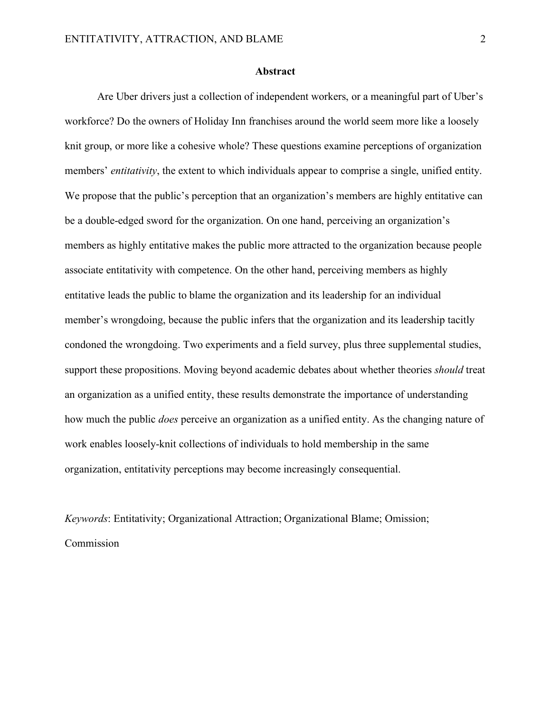#### **Abstract**

Are Uber drivers just a collection of independent workers, or a meaningful part of Uber's workforce? Do the owners of Holiday Inn franchises around the world seem more like a loosely knit group, or more like a cohesive whole? These questions examine perceptions of organization members' *entitativity*, the extent to which individuals appear to comprise a single, unified entity. We propose that the public's perception that an organization's members are highly entitative can be a double-edged sword for the organization. On one hand, perceiving an organization's members as highly entitative makes the public more attracted to the organization because people associate entitativity with competence. On the other hand, perceiving members as highly entitative leads the public to blame the organization and its leadership for an individual member's wrongdoing, because the public infers that the organization and its leadership tacitly condoned the wrongdoing. Two experiments and a field survey, plus three supplemental studies, support these propositions. Moving beyond academic debates about whether theories *should* treat an organization as a unified entity, these results demonstrate the importance of understanding how much the public *does* perceive an organization as a unified entity. As the changing nature of work enables loosely-knit collections of individuals to hold membership in the same organization, entitativity perceptions may become increasingly consequential.

*Keywords*: Entitativity; Organizational Attraction; Organizational Blame; Omission; Commission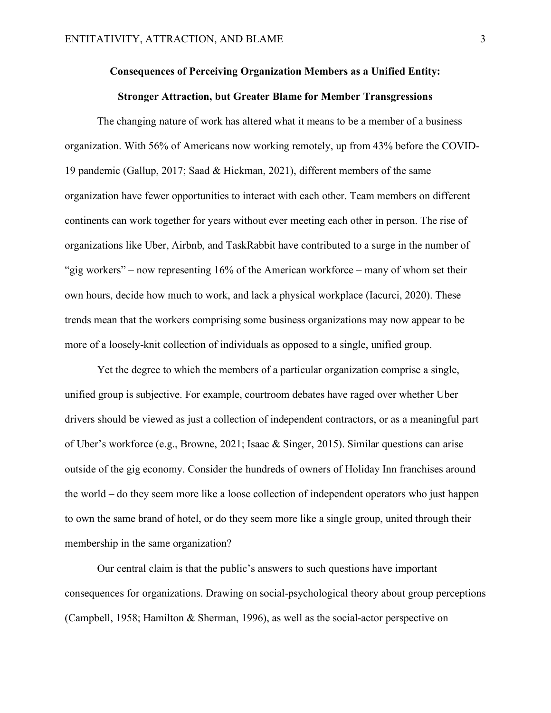# **Consequences of Perceiving Organization Members as a Unified Entity: Stronger Attraction, but Greater Blame for Member Transgressions**

The changing nature of work has altered what it means to be a member of a business organization. With 56% of Americans now working remotely, up from 43% before the COVID-19 pandemic (Gallup, 2017; Saad & Hickman, 2021), different members of the same organization have fewer opportunities to interact with each other. Team members on different continents can work together for years without ever meeting each other in person. The rise of organizations like Uber, Airbnb, and TaskRabbit have contributed to a surge in the number of "gig workers" – now representing 16% of the American workforce – many of whom set their own hours, decide how much to work, and lack a physical workplace (Iacurci, 2020). These trends mean that the workers comprising some business organizations may now appear to be more of a loosely-knit collection of individuals as opposed to a single, unified group.

Yet the degree to which the members of a particular organization comprise a single, unified group is subjective. For example, courtroom debates have raged over whether Uber drivers should be viewed as just a collection of independent contractors, or as a meaningful part of Uber's workforce (e.g., Browne, 2021; Isaac & Singer, 2015). Similar questions can arise outside of the gig economy. Consider the hundreds of owners of Holiday Inn franchises around the world – do they seem more like a loose collection of independent operators who just happen to own the same brand of hotel, or do they seem more like a single group, united through their membership in the same organization?

Our central claim is that the public's answers to such questions have important consequences for organizations. Drawing on social-psychological theory about group perceptions (Campbell, 1958; Hamilton & Sherman, 1996), as well as the social-actor perspective on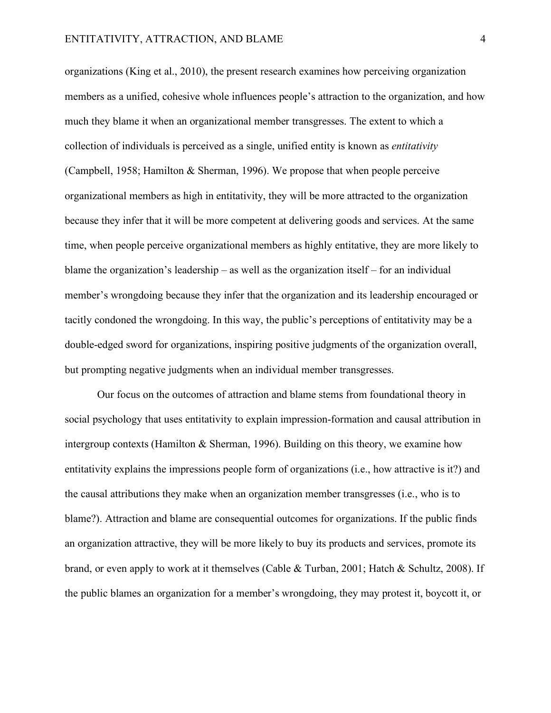organizations (King et al., 2010), the present research examines how perceiving organization members as a unified, cohesive whole influences people's attraction to the organization, and how much they blame it when an organizational member transgresses. The extent to which a collection of individuals is perceived as a single, unified entity is known as *entitativity*  (Campbell, 1958; Hamilton & Sherman, 1996). We propose that when people perceive organizational members as high in entitativity, they will be more attracted to the organization because they infer that it will be more competent at delivering goods and services. At the same time, when people perceive organizational members as highly entitative, they are more likely to blame the organization's leadership – as well as the organization itself – for an individual member's wrongdoing because they infer that the organization and its leadership encouraged or tacitly condoned the wrongdoing. In this way, the public's perceptions of entitativity may be a double-edged sword for organizations, inspiring positive judgments of the organization overall, but prompting negative judgments when an individual member transgresses.

Our focus on the outcomes of attraction and blame stems from foundational theory in social psychology that uses entitativity to explain impression-formation and causal attribution in intergroup contexts (Hamilton & Sherman, 1996). Building on this theory, we examine how entitativity explains the impressions people form of organizations (i.e., how attractive is it?) and the causal attributions they make when an organization member transgresses (i.e., who is to blame?). Attraction and blame are consequential outcomes for organizations. If the public finds an organization attractive, they will be more likely to buy its products and services, promote its brand, or even apply to work at it themselves (Cable & Turban, 2001; Hatch & Schultz, 2008). If the public blames an organization for a member's wrongdoing, they may protest it, boycott it, or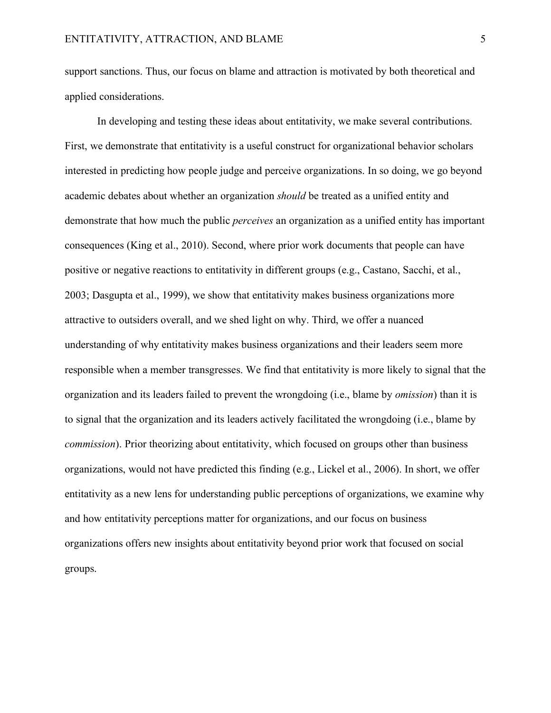support sanctions. Thus, our focus on blame and attraction is motivated by both theoretical and applied considerations.

In developing and testing these ideas about entitativity, we make several contributions. First, we demonstrate that entitativity is a useful construct for organizational behavior scholars interested in predicting how people judge and perceive organizations. In so doing, we go beyond academic debates about whether an organization *should* be treated as a unified entity and demonstrate that how much the public *perceives* an organization as a unified entity has important consequences (King et al., 2010). Second, where prior work documents that people can have positive or negative reactions to entitativity in different groups (e.g., Castano, Sacchi, et al., 2003; Dasgupta et al., 1999), we show that entitativity makes business organizations more attractive to outsiders overall, and we shed light on why. Third, we offer a nuanced understanding of why entitativity makes business organizations and their leaders seem more responsible when a member transgresses. We find that entitativity is more likely to signal that the organization and its leaders failed to prevent the wrongdoing (i.e., blame by *omission*) than it is to signal that the organization and its leaders actively facilitated the wrongdoing (i.e., blame by *commission*). Prior theorizing about entitativity, which focused on groups other than business organizations, would not have predicted this finding (e.g., Lickel et al., 2006). In short, we offer entitativity as a new lens for understanding public perceptions of organizations, we examine why and how entitativity perceptions matter for organizations, and our focus on business organizations offers new insights about entitativity beyond prior work that focused on social groups.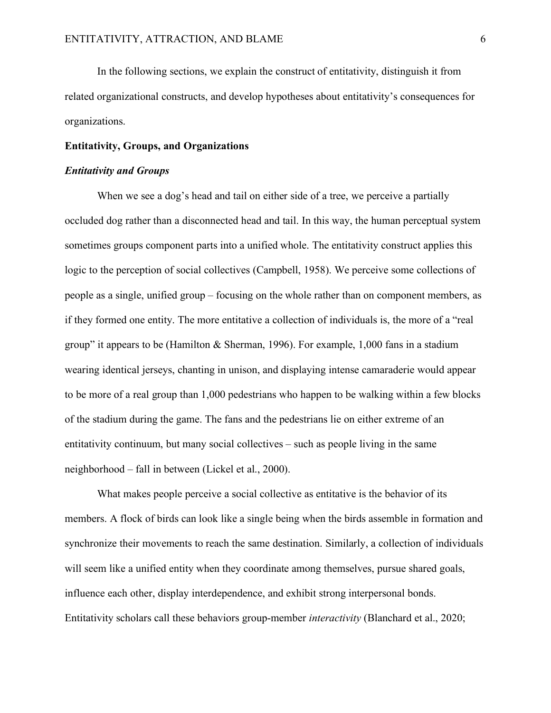In the following sections, we explain the construct of entitativity, distinguish it from related organizational constructs, and develop hypotheses about entitativity's consequences for organizations.

### **Entitativity, Groups, and Organizations**

### *Entitativity and Groups*

When we see a dog's head and tail on either side of a tree, we perceive a partially occluded dog rather than a disconnected head and tail. In this way, the human perceptual system sometimes groups component parts into a unified whole. The entitativity construct applies this logic to the perception of social collectives (Campbell, 1958). We perceive some collections of people as a single, unified group – focusing on the whole rather than on component members, as if they formed one entity. The more entitative a collection of individuals is, the more of a "real group" it appears to be (Hamilton & Sherman, 1996). For example, 1,000 fans in a stadium wearing identical jerseys, chanting in unison, and displaying intense camaraderie would appear to be more of a real group than 1,000 pedestrians who happen to be walking within a few blocks of the stadium during the game. The fans and the pedestrians lie on either extreme of an entitativity continuum, but many social collectives – such as people living in the same neighborhood – fall in between (Lickel et al., 2000).

What makes people perceive a social collective as entitative is the behavior of its members. A flock of birds can look like a single being when the birds assemble in formation and synchronize their movements to reach the same destination. Similarly, a collection of individuals will seem like a unified entity when they coordinate among themselves, pursue shared goals, influence each other, display interdependence, and exhibit strong interpersonal bonds. Entitativity scholars call these behaviors group-member *interactivity* (Blanchard et al., 2020;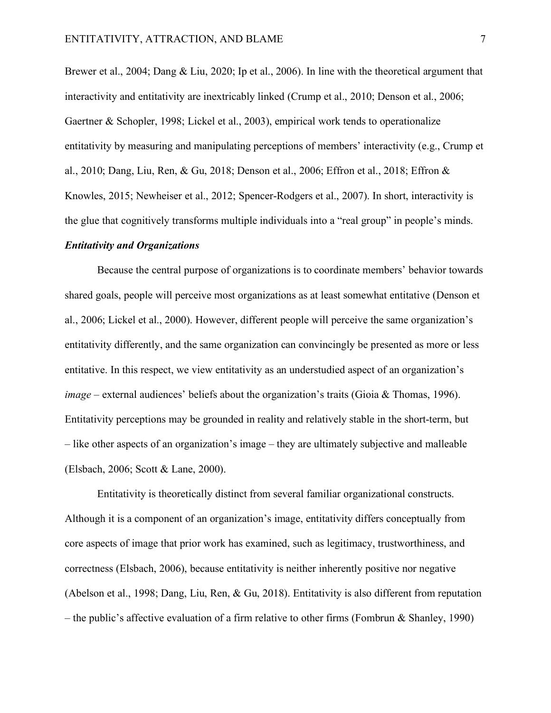Brewer et al., 2004; Dang & Liu, 2020; Ip et al., 2006). In line with the theoretical argument that interactivity and entitativity are inextricably linked (Crump et al., 2010; Denson et al., 2006; Gaertner & Schopler, 1998; Lickel et al., 2003), empirical work tends to operationalize entitativity by measuring and manipulating perceptions of members' interactivity (e.g., Crump et al., 2010; Dang, Liu, Ren, & Gu, 2018; Denson et al., 2006; Effron et al., 2018; Effron & Knowles, 2015; Newheiser et al., 2012; Spencer-Rodgers et al., 2007). In short, interactivity is the glue that cognitively transforms multiple individuals into a "real group" in people's minds.

### *Entitativity and Organizations*

Because the central purpose of organizations is to coordinate members' behavior towards shared goals, people will perceive most organizations as at least somewhat entitative (Denson et al., 2006; Lickel et al., 2000). However, different people will perceive the same organization's entitativity differently, and the same organization can convincingly be presented as more or less entitative. In this respect, we view entitativity as an understudied aspect of an organization's *image* – external audiences' beliefs about the organization's traits (Gioia & Thomas, 1996). Entitativity perceptions may be grounded in reality and relatively stable in the short-term, but – like other aspects of an organization's image – they are ultimately subjective and malleable (Elsbach, 2006; Scott & Lane, 2000).

Entitativity is theoretically distinct from several familiar organizational constructs. Although it is a component of an organization's image, entitativity differs conceptually from core aspects of image that prior work has examined, such as legitimacy, trustworthiness, and correctness (Elsbach, 2006), because entitativity is neither inherently positive nor negative (Abelson et al., 1998; Dang, Liu, Ren, & Gu, 2018). Entitativity is also different from reputation – the public's affective evaluation of a firm relative to other firms (Fombrun & Shanley, 1990)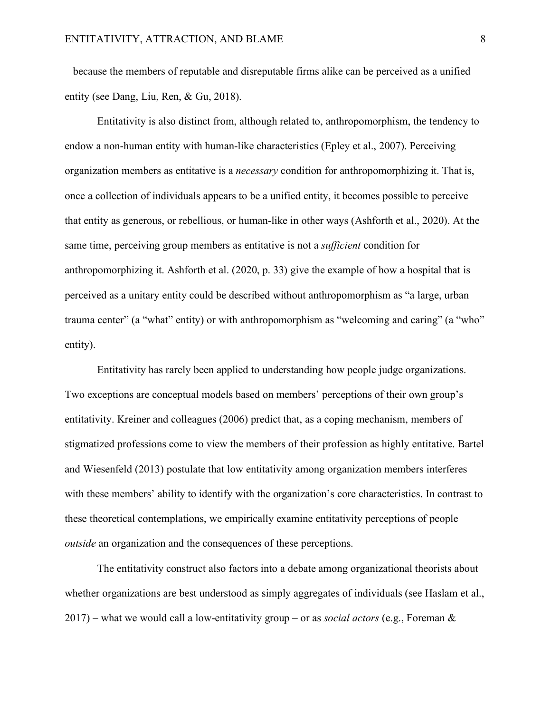– because the members of reputable and disreputable firms alike can be perceived as a unified entity (see Dang, Liu, Ren, & Gu, 2018).

Entitativity is also distinct from, although related to, anthropomorphism, the tendency to endow a non-human entity with human-like characteristics (Epley et al., 2007). Perceiving organization members as entitative is a *necessary* condition for anthropomorphizing it. That is, once a collection of individuals appears to be a unified entity, it becomes possible to perceive that entity as generous, or rebellious, or human-like in other ways (Ashforth et al., 2020). At the same time, perceiving group members as entitative is not a *sufficient* condition for anthropomorphizing it. Ashforth et al. (2020, p. 33) give the example of how a hospital that is perceived as a unitary entity could be described without anthropomorphism as "a large, urban trauma center" (a "what" entity) or with anthropomorphism as "welcoming and caring" (a "who" entity).

Entitativity has rarely been applied to understanding how people judge organizations. Two exceptions are conceptual models based on members' perceptions of their own group's entitativity. Kreiner and colleagues (2006) predict that, as a coping mechanism, members of stigmatized professions come to view the members of their profession as highly entitative. Bartel and Wiesenfeld (2013) postulate that low entitativity among organization members interferes with these members' ability to identify with the organization's core characteristics. In contrast to these theoretical contemplations, we empirically examine entitativity perceptions of people *outside* an organization and the consequences of these perceptions.

The entitativity construct also factors into a debate among organizational theorists about whether organizations are best understood as simply aggregates of individuals (see Haslam et al., 2017) – what we would call a low-entitativity group – or as *social actors* (e.g., Foreman &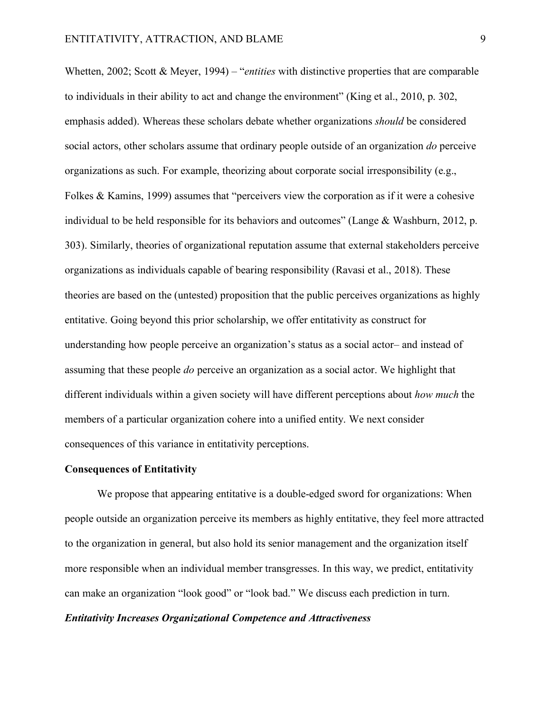Whetten, 2002; Scott & Meyer, 1994) – "*entities* with distinctive properties that are comparable to individuals in their ability to act and change the environment" (King et al., 2010, p. 302, emphasis added). Whereas these scholars debate whether organizations *should* be considered social actors, other scholars assume that ordinary people outside of an organization *do* perceive organizations as such. For example, theorizing about corporate social irresponsibility (e.g., Folkes & Kamins, 1999) assumes that "perceivers view the corporation as if it were a cohesive individual to be held responsible for its behaviors and outcomes" (Lange & Washburn, 2012, p. 303). Similarly, theories of organizational reputation assume that external stakeholders perceive organizations as individuals capable of bearing responsibility (Ravasi et al., 2018). These theories are based on the (untested) proposition that the public perceives organizations as highly entitative. Going beyond this prior scholarship, we offer entitativity as construct for understanding how people perceive an organization's status as a social actor– and instead of assuming that these people *do* perceive an organization as a social actor. We highlight that different individuals within a given society will have different perceptions about *how much* the members of a particular organization cohere into a unified entity. We next consider consequences of this variance in entitativity perceptions.

#### **Consequences of Entitativity**

We propose that appearing entitative is a double-edged sword for organizations: When people outside an organization perceive its members as highly entitative, they feel more attracted to the organization in general, but also hold its senior management and the organization itself more responsible when an individual member transgresses. In this way, we predict, entitativity can make an organization "look good" or "look bad." We discuss each prediction in turn.

# *Entitativity Increases Organizational Competence and Attractiveness*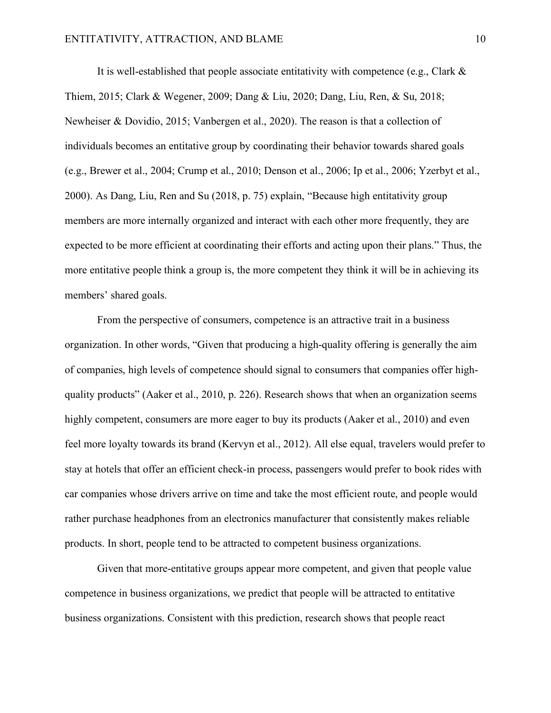It is well-established that people associate entitativity with competence (e.g., Clark  $\&$ Thiem, 2015; Clark & Wegener, 2009; Dang & Liu, 2020; Dang, Liu, Ren, & Su, 2018; Newheiser & Dovidio, 2015; Vanbergen et al., 2020). The reason is that a collection of individuals becomes an entitative group by coordinating their behavior towards shared goals (e.g., Brewer et al., 2004; Crump et al., 2010; Denson et al., 2006; Ip et al., 2006; Yzerbyt et al., 2000). As Dang, Liu, Ren and Su (2018, p. 75) explain, "Because high entitativity group members are more internally organized and interact with each other more frequently, they are expected to be more efficient at coordinating their efforts and acting upon their plans." Thus, the more entitative people think a group is, the more competent they think it will be in achieving its members' shared goals.

From the perspective of consumers, competence is an attractive trait in a business organization. In other words, "Given that producing a high-quality offering is generally the aim of companies, high levels of competence should signal to consumers that companies offer highquality products" (Aaker et al., 2010, p. 226). Research shows that when an organization seems highly competent, consumers are more eager to buy its products (Aaker et al., 2010) and even feel more loyalty towards its brand (Kervyn et al., 2012). All else equal, travelers would prefer to stay at hotels that offer an efficient check-in process, passengers would prefer to book rides with car companies whose drivers arrive on time and take the most efficient route, and people would rather purchase headphones from an electronics manufacturer that consistently makes reliable products. In short, people tend to be attracted to competent business organizations.

Given that more-entitative groups appear more competent, and given that people value competence in business organizations, we predict that people will be attracted to entitative business organizations. Consistent with this prediction, research shows that people react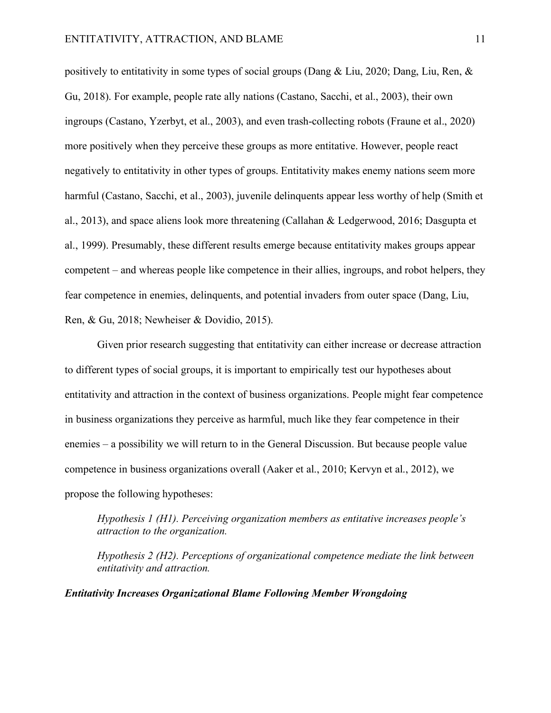positively to entitativity in some types of social groups (Dang  $\&$  Liu, 2020; Dang, Liu, Ren,  $\&$ Gu, 2018). For example, people rate ally nations (Castano, Sacchi, et al., 2003), their own ingroups (Castano, Yzerbyt, et al., 2003), and even trash-collecting robots (Fraune et al., 2020) more positively when they perceive these groups as more entitative. However, people react negatively to entitativity in other types of groups. Entitativity makes enemy nations seem more harmful (Castano, Sacchi, et al., 2003), juvenile delinquents appear less worthy of help (Smith et al., 2013), and space aliens look more threatening (Callahan & Ledgerwood, 2016; Dasgupta et al., 1999). Presumably, these different results emerge because entitativity makes groups appear competent – and whereas people like competence in their allies, ingroups, and robot helpers, they fear competence in enemies, delinquents, and potential invaders from outer space (Dang, Liu, Ren, & Gu, 2018; Newheiser & Dovidio, 2015).

Given prior research suggesting that entitativity can either increase or decrease attraction to different types of social groups, it is important to empirically test our hypotheses about entitativity and attraction in the context of business organizations. People might fear competence in business organizations they perceive as harmful, much like they fear competence in their enemies – a possibility we will return to in the General Discussion. But because people value competence in business organizations overall (Aaker et al., 2010; Kervyn et al., 2012), we propose the following hypotheses:

*Hypothesis 1 (H1). Perceiving organization members as entitative increases people's attraction to the organization.*

*Hypothesis 2 (H2). Perceptions of organizational competence mediate the link between entitativity and attraction.* 

*Entitativity Increases Organizational Blame Following Member Wrongdoing*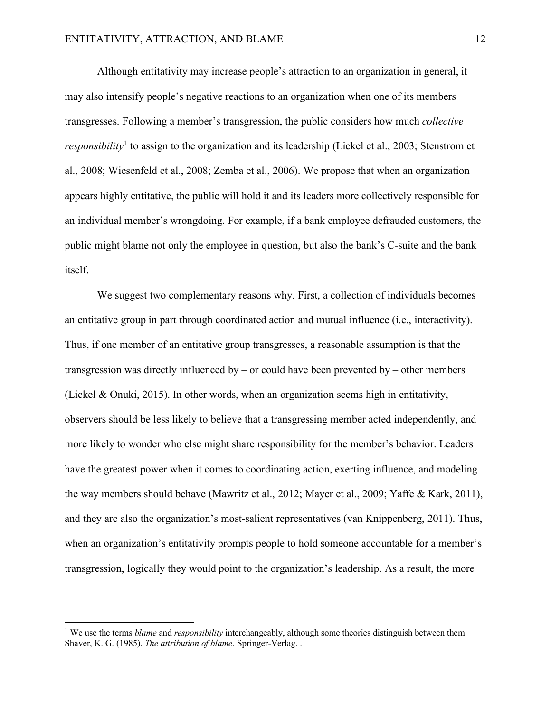Although entitativity may increase people's attraction to an organization in general, it may also intensify people's negative reactions to an organization when one of its members transgresses. Following a member's transgression, the public considers how much *collective responsibility*<sup>1</sup> to assign to the organization and its leadership (Lickel et al., 2003; Stenstrom et al., 2008; Wiesenfeld et al., 2008; Zemba et al., 2006). We propose that when an organization appears highly entitative, the public will hold it and its leaders more collectively responsible for an individual member's wrongdoing. For example, if a bank employee defrauded customers, the public might blame not only the employee in question, but also the bank's C-suite and the bank itself.

We suggest two complementary reasons why. First, a collection of individuals becomes an entitative group in part through coordinated action and mutual influence (i.e., interactivity). Thus, if one member of an entitative group transgresses, a reasonable assumption is that the transgression was directly influenced by – or could have been prevented by – other members (Lickel & Onuki, 2015). In other words, when an organization seems high in entitativity, observers should be less likely to believe that a transgressing member acted independently, and more likely to wonder who else might share responsibility for the member's behavior. Leaders have the greatest power when it comes to coordinating action, exerting influence, and modeling the way members should behave (Mawritz et al., 2012; Mayer et al., 2009; Yaffe & Kark, 2011), and they are also the organization's most-salient representatives (van Knippenberg, 2011). Thus, when an organization's entitativity prompts people to hold someone accountable for a member's transgression, logically they would point to the organization's leadership. As a result, the more

<sup>&</sup>lt;sup>1</sup> We use the terms *blame* and *responsibility* interchangeably, although some theories distinguish between them Shaver, K. G. (1985). *The attribution of blame*. Springer-Verlag. .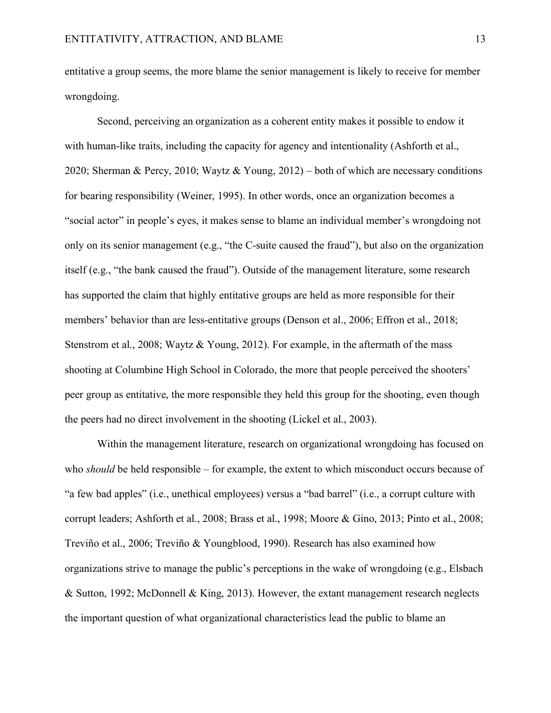entitative a group seems, the more blame the senior management is likely to receive for member wrongdoing.

Second, perceiving an organization as a coherent entity makes it possible to endow it with human-like traits, including the capacity for agency and intentionality (Ashforth et al., 2020; Sherman & Percy, 2010; Waytz & Young, 2012) – both of which are necessary conditions for bearing responsibility (Weiner, 1995). In other words, once an organization becomes a "social actor" in people's eyes, it makes sense to blame an individual member's wrongdoing not only on its senior management (e.g., "the C-suite caused the fraud"), but also on the organization itself (e.g., "the bank caused the fraud"). Outside of the management literature, some research has supported the claim that highly entitative groups are held as more responsible for their members' behavior than are less-entitative groups (Denson et al., 2006; Effron et al., 2018; Stenstrom et al., 2008; Waytz & Young, 2012). For example, in the aftermath of the mass shooting at Columbine High School in Colorado, the more that people perceived the shooters' peer group as entitative, the more responsible they held this group for the shooting, even though the peers had no direct involvement in the shooting (Lickel et al., 2003).

Within the management literature, research on organizational wrongdoing has focused on who *should* be held responsible – for example, the extent to which misconduct occurs because of "a few bad apples" (i.e., unethical employees) versus a "bad barrel" (i.e., a corrupt culture with corrupt leaders; Ashforth et al., 2008; Brass et al., 1998; Moore & Gino, 2013; Pinto et al., 2008; Treviño et al., 2006; Treviño & Youngblood, 1990). Research has also examined how organizations strive to manage the public's perceptions in the wake of wrongdoing (e.g., Elsbach & Sutton, 1992; McDonnell & King, 2013). However, the extant management research neglects the important question of what organizational characteristics lead the public to blame an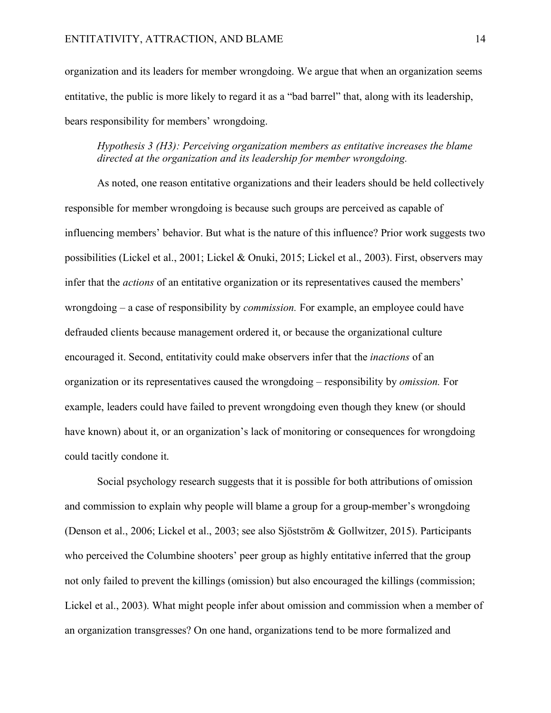organization and its leaders for member wrongdoing. We argue that when an organization seems entitative, the public is more likely to regard it as a "bad barrel" that, along with its leadership, bears responsibility for members' wrongdoing.

# *Hypothesis 3 (H3): Perceiving organization members as entitative increases the blame directed at the organization and its leadership for member wrongdoing.*

As noted, one reason entitative organizations and their leaders should be held collectively responsible for member wrongdoing is because such groups are perceived as capable of influencing members' behavior. But what is the nature of this influence? Prior work suggests two possibilities (Lickel et al., 2001; Lickel & Onuki, 2015; Lickel et al., 2003). First, observers may infer that the *actions* of an entitative organization or its representatives caused the members' wrongdoing – a case of responsibility by *commission.* For example, an employee could have defrauded clients because management ordered it, or because the organizational culture encouraged it. Second, entitativity could make observers infer that the *inactions* of an organization or its representatives caused the wrongdoing – responsibility by *omission.* For example, leaders could have failed to prevent wrongdoing even though they knew (or should have known) about it, or an organization's lack of monitoring or consequences for wrongdoing could tacitly condone it.

Social psychology research suggests that it is possible for both attributions of omission and commission to explain why people will blame a group for a group-member's wrongdoing (Denson et al., 2006; Lickel et al., 2003; see also Sjöstström & Gollwitzer, 2015). Participants who perceived the Columbine shooters' peer group as highly entitative inferred that the group not only failed to prevent the killings (omission) but also encouraged the killings (commission; Lickel et al., 2003). What might people infer about omission and commission when a member of an organization transgresses? On one hand, organizations tend to be more formalized and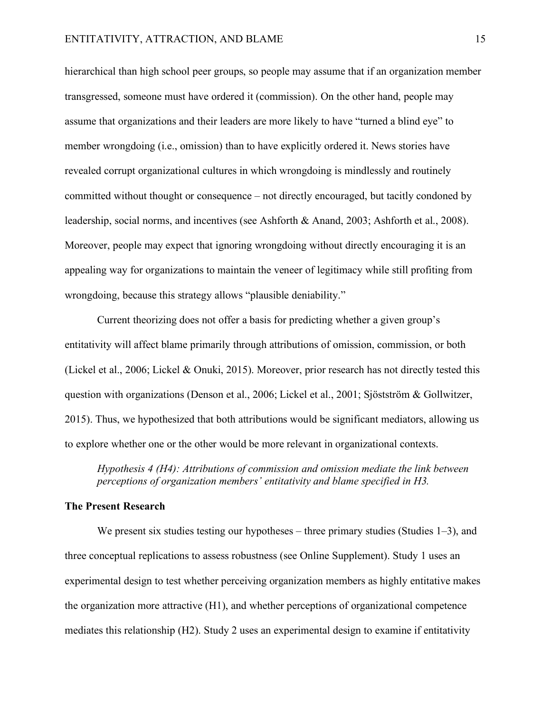hierarchical than high school peer groups, so people may assume that if an organization member transgressed, someone must have ordered it (commission). On the other hand, people may assume that organizations and their leaders are more likely to have "turned a blind eye" to member wrongdoing (i.e., omission) than to have explicitly ordered it. News stories have revealed corrupt organizational cultures in which wrongdoing is mindlessly and routinely committed without thought or consequence – not directly encouraged, but tacitly condoned by leadership, social norms, and incentives (see Ashforth & Anand, 2003; Ashforth et al., 2008). Moreover, people may expect that ignoring wrongdoing without directly encouraging it is an appealing way for organizations to maintain the veneer of legitimacy while still profiting from wrongdoing, because this strategy allows "plausible deniability."

Current theorizing does not offer a basis for predicting whether a given group's entitativity will affect blame primarily through attributions of omission, commission, or both (Lickel et al., 2006; Lickel & Onuki, 2015). Moreover, prior research has not directly tested this question with organizations (Denson et al., 2006; Lickel et al., 2001; Sjöstström & Gollwitzer, 2015). Thus, we hypothesized that both attributions would be significant mediators, allowing us to explore whether one or the other would be more relevant in organizational contexts.

*Hypothesis 4 (H4): Attributions of commission and omission mediate the link between perceptions of organization members' entitativity and blame specified in H3.*

# **The Present Research**

We present six studies testing our hypotheses – three primary studies (Studies  $1-3$ ), and three conceptual replications to assess robustness (see Online Supplement). Study 1 uses an experimental design to test whether perceiving organization members as highly entitative makes the organization more attractive (H1), and whether perceptions of organizational competence mediates this relationship (H2). Study 2 uses an experimental design to examine if entitativity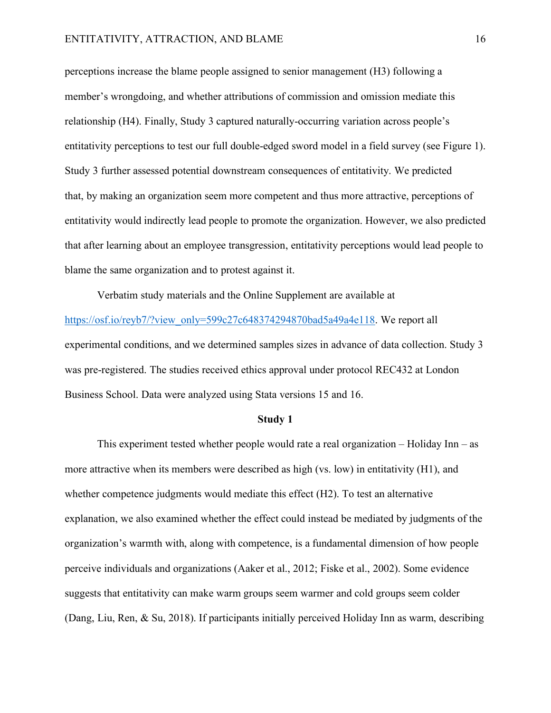### ENTITATIVITY, ATTRACTION, AND BLAME 16

perceptions increase the blame people assigned to senior management (H3) following a member's wrongdoing, and whether attributions of commission and omission mediate this relationship (H4). Finally, Study 3 captured naturally-occurring variation across people's entitativity perceptions to test our full double-edged sword model in a field survey (see Figure 1). Study 3 further assessed potential downstream consequences of entitativity. We predicted that, by making an organization seem more competent and thus more attractive, perceptions of entitativity would indirectly lead people to promote the organization. However, we also predicted that after learning about an employee transgression, entitativity perceptions would lead people to blame the same organization and to protest against it.

Verbatim study materials and the Online Supplement are available at https://osf.io/reyb7/?view\_only=599c27c648374294870bad5a49a4e118. We report all experimental conditions, and we determined samples sizes in advance of data collection. Study 3 was pre-registered. The studies received ethics approval under protocol REC432 at London Business School. Data were analyzed using Stata versions 15 and 16.

#### **Study 1**

This experiment tested whether people would rate a real organization – Holiday Inn – as more attractive when its members were described as high (vs. low) in entitativity (H1), and whether competence judgments would mediate this effect (H2). To test an alternative explanation, we also examined whether the effect could instead be mediated by judgments of the organization's warmth with, along with competence, is a fundamental dimension of how people perceive individuals and organizations (Aaker et al., 2012; Fiske et al., 2002). Some evidence suggests that entitativity can make warm groups seem warmer and cold groups seem colder (Dang, Liu, Ren, & Su, 2018). If participants initially perceived Holiday Inn as warm, describing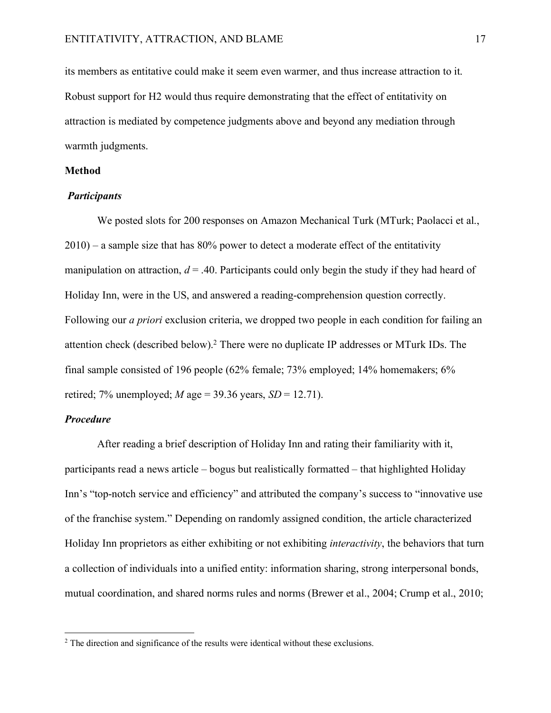its members as entitative could make it seem even warmer, and thus increase attraction to it. Robust support for H2 would thus require demonstrating that the effect of entitativity on attraction is mediated by competence judgments above and beyond any mediation through warmth judgments.

### **Method**

### *Participants*

We posted slots for 200 responses on Amazon Mechanical Turk (MTurk; Paolacci et al.,  $2010$  – a sample size that has 80% power to detect a moderate effect of the entitativity manipulation on attraction,  $d = .40$ . Participants could only begin the study if they had heard of Holiday Inn, were in the US, and answered a reading-comprehension question correctly. Following our *a priori* exclusion criteria, we dropped two people in each condition for failing an attention check (described below). <sup>2</sup> There were no duplicate IP addresses or MTurk IDs. The final sample consisted of 196 people (62% female; 73% employed; 14% homemakers; 6% retired; 7% unemployed; *M* age = 39.36 years,  $SD = 12.71$ ).

### *Procedure*

After reading a brief description of Holiday Inn and rating their familiarity with it, participants read a news article – bogus but realistically formatted – that highlighted Holiday Inn's "top-notch service and efficiency" and attributed the company's success to "innovative use of the franchise system." Depending on randomly assigned condition, the article characterized Holiday Inn proprietors as either exhibiting or not exhibiting *interactivity*, the behaviors that turn a collection of individuals into a unified entity: information sharing, strong interpersonal bonds, mutual coordination, and shared norms rules and norms (Brewer et al., 2004; Crump et al., 2010;

<sup>&</sup>lt;sup>2</sup> The direction and significance of the results were identical without these exclusions.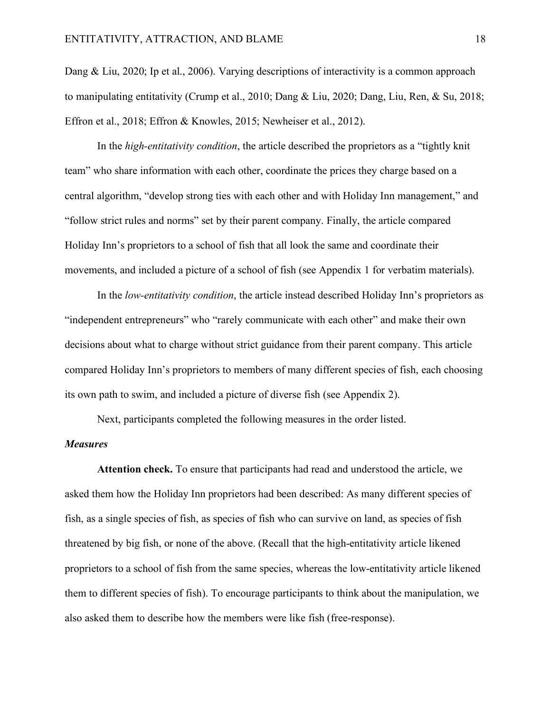Dang & Liu, 2020; Ip et al., 2006). Varying descriptions of interactivity is a common approach to manipulating entitativity (Crump et al., 2010; Dang & Liu, 2020; Dang, Liu, Ren, & Su, 2018; Effron et al., 2018; Effron & Knowles, 2015; Newheiser et al., 2012).

In the *high-entitativity condition*, the article described the proprietors as a "tightly knit team" who share information with each other, coordinate the prices they charge based on a central algorithm, "develop strong ties with each other and with Holiday Inn management," and "follow strict rules and norms" set by their parent company. Finally, the article compared Holiday Inn's proprietors to a school of fish that all look the same and coordinate their movements, and included a picture of a school of fish (see Appendix 1 for verbatim materials).

In the *low-entitativity condition*, the article instead described Holiday Inn's proprietors as "independent entrepreneurs" who "rarely communicate with each other" and make their own decisions about what to charge without strict guidance from their parent company. This article compared Holiday Inn's proprietors to members of many different species of fish, each choosing its own path to swim, and included a picture of diverse fish (see Appendix 2).

Next, participants completed the following measures in the order listed.

#### *Measures*

**Attention check.** To ensure that participants had read and understood the article, we asked them how the Holiday Inn proprietors had been described: As many different species of fish, as a single species of fish, as species of fish who can survive on land, as species of fish threatened by big fish, or none of the above. (Recall that the high-entitativity article likened proprietors to a school of fish from the same species, whereas the low-entitativity article likened them to different species of fish). To encourage participants to think about the manipulation, we also asked them to describe how the members were like fish (free-response).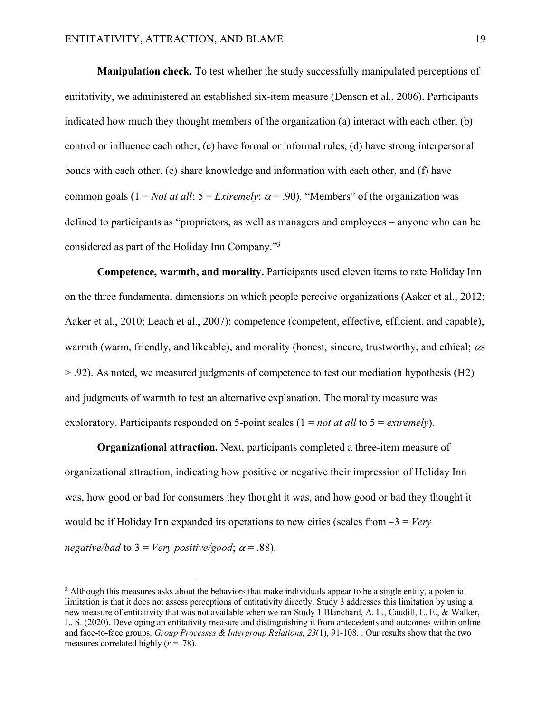**Manipulation check.** To test whether the study successfully manipulated perceptions of entitativity, we administered an established six-item measure (Denson et al., 2006). Participants indicated how much they thought members of the organization (a) interact with each other, (b) control or influence each other, (c) have formal or informal rules, (d) have strong interpersonal bonds with each other, (e) share knowledge and information with each other, and (f) have common goals ( $1 = Not$  *at all*;  $5 = Extremelv$ ;  $\alpha = .90$ ). "Members" of the organization was defined to participants as "proprietors, as well as managers and employees – anyone who can be considered as part of the Holiday Inn Company."3

**Competence, warmth, and morality.** Participants used eleven items to rate Holiday Inn on the three fundamental dimensions on which people perceive organizations (Aaker et al., 2012; Aaker et al., 2010; Leach et al., 2007): competence (competent, effective, efficient, and capable), warmth (warm, friendly, and likeable), and morality (honest, sincere, trustworthy, and ethical;  $\alpha s$  $> 0.92$ . As noted, we measured judgments of competence to test our mediation hypothesis (H2) and judgments of warmth to test an alternative explanation. The morality measure was exploratory. Participants responded on 5-point scales (1 = *not at all* to 5 = *extremely*).

**Organizational attraction.** Next, participants completed a three-item measure of organizational attraction, indicating how positive or negative their impression of Holiday Inn was, how good or bad for consumers they thought it was, and how good or bad they thought it would be if Holiday Inn expanded its operations to new cities (scales from –3 = *Very negative/bad* to  $3 = V$ *erv positive/good*;  $\alpha = .88$ ).

<sup>&</sup>lt;sup>3</sup> Although this measures asks about the behaviors that make individuals appear to be a single entity, a potential limitation is that it does not assess perceptions of entitativity directly. Study 3 addresses this limitation by using a new measure of entitativity that was not available when we ran Study 1 Blanchard, A. L., Caudill, L. E., & Walker, L. S. (2020). Developing an entitativity measure and distinguishing it from antecedents and outcomes within online and face-to-face groups. *Group Processes & Intergroup Relations*, *23*(1), 91-108. . Our results show that the two measures correlated highly (*r* = .78).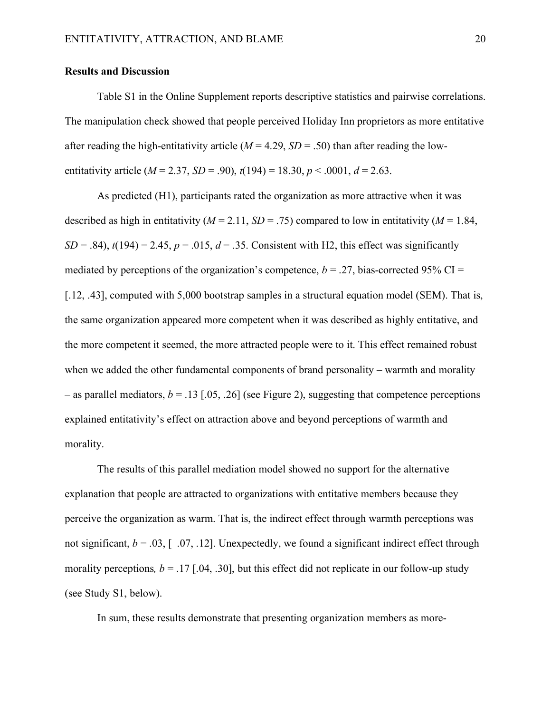# **Results and Discussion**

Table S1 in the Online Supplement reports descriptive statistics and pairwise correlations. The manipulation check showed that people perceived Holiday Inn proprietors as more entitative after reading the high-entitativity article ( $M = 4.29$ ,  $SD = .50$ ) than after reading the lowentitativity article  $(M = 2.37, SD = .90)$ ,  $t(194) = 18.30, p < .0001, d = 2.63$ .

As predicted (H1), participants rated the organization as more attractive when it was described as high in entitativity ( $M = 2.11$ ,  $SD = .75$ ) compared to low in entitativity ( $M = 1.84$ ,  $SD = .84$ ),  $t(194) = 2.45$ ,  $p = .015$ ,  $d = .35$ . Consistent with H2, this effect was significantly mediated by perceptions of the organization's competence,  $b = .27$ , bias-corrected 95% CI = [.12, .43], computed with 5,000 bootstrap samples in a structural equation model (SEM). That is, the same organization appeared more competent when it was described as highly entitative, and the more competent it seemed, the more attracted people were to it. This effect remained robust when we added the other fundamental components of brand personality – warmth and morality  $-$  as parallel mediators,  $b = .13$  [.05, .26] (see Figure 2), suggesting that competence perceptions explained entitativity's effect on attraction above and beyond perceptions of warmth and morality.

The results of this parallel mediation model showed no support for the alternative explanation that people are attracted to organizations with entitative members because they perceive the organization as warm. That is, the indirect effect through warmth perceptions was not significant,  $b = .03$ ,  $[-.07, .12]$ . Unexpectedly, we found a significant indirect effect through morality perceptions,  $b = .17$  [.04, .30], but this effect did not replicate in our follow-up study (see Study S1, below).

In sum, these results demonstrate that presenting organization members as more-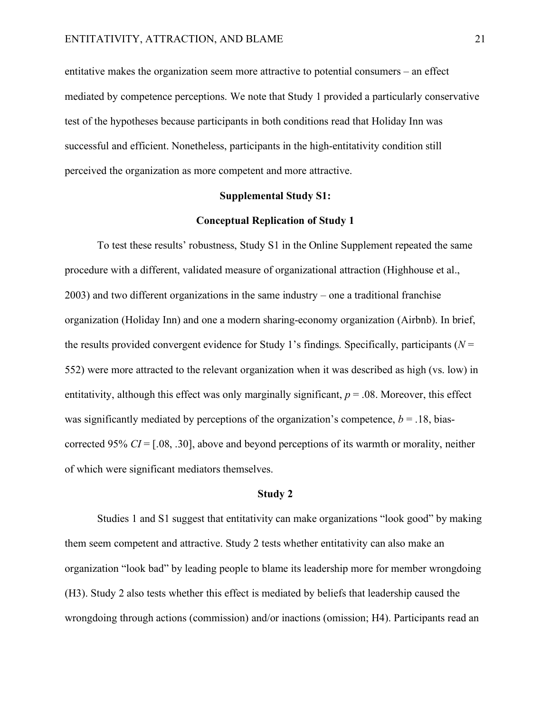entitative makes the organization seem more attractive to potential consumers – an effect mediated by competence perceptions. We note that Study 1 provided a particularly conservative test of the hypotheses because participants in both conditions read that Holiday Inn was successful and efficient. Nonetheless, participants in the high-entitativity condition still perceived the organization as more competent and more attractive.

### **Supplemental Study S1:**

### **Conceptual Replication of Study 1**

To test these results' robustness, Study S1 in the Online Supplement repeated the same procedure with a different, validated measure of organizational attraction (Highhouse et al., 2003) and two different organizations in the same industry – one a traditional franchise organization (Holiday Inn) and one a modern sharing-economy organization (Airbnb). In brief, the results provided convergent evidence for Study 1's findings. Specifically, participants  $(N =$ 552) were more attracted to the relevant organization when it was described as high (vs. low) in entitativity, although this effect was only marginally significant,  $p = 0.08$ . Moreover, this effect was significantly mediated by perceptions of the organization's competence,  $b = .18$ , biascorrected 95%  $CI = [0.08, 0.30]$ , above and beyond perceptions of its warmth or morality, neither of which were significant mediators themselves.

#### **Study 2**

Studies 1 and S1 suggest that entitativity can make organizations "look good" by making them seem competent and attractive. Study 2 tests whether entitativity can also make an organization "look bad" by leading people to blame its leadership more for member wrongdoing (H3). Study 2 also tests whether this effect is mediated by beliefs that leadership caused the wrongdoing through actions (commission) and/or inactions (omission; H4). Participants read an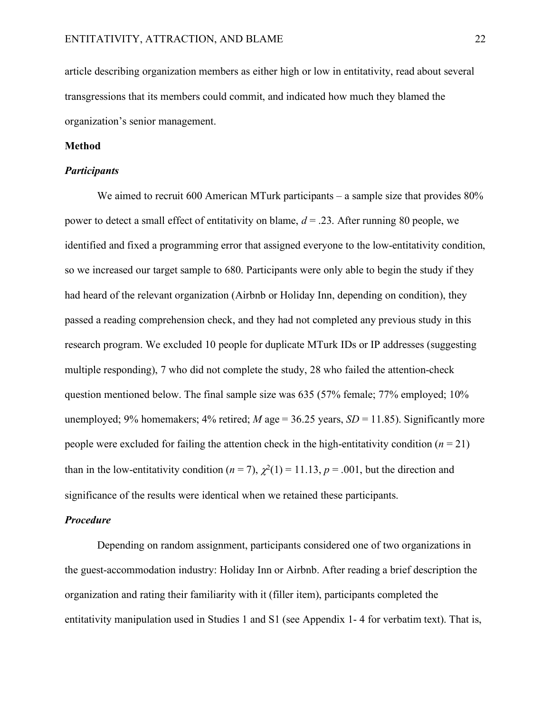article describing organization members as either high or low in entitativity, read about several transgressions that its members could commit, and indicated how much they blamed the organization's senior management.

### **Method**

### *Participants*

We aimed to recruit 600 American MTurk participants – a sample size that provides 80% power to detect a small effect of entitativity on blame, *d* = .23. After running 80 people, we identified and fixed a programming error that assigned everyone to the low-entitativity condition, so we increased our target sample to 680. Participants were only able to begin the study if they had heard of the relevant organization (Airbnb or Holiday Inn, depending on condition), they passed a reading comprehension check, and they had not completed any previous study in this research program. We excluded 10 people for duplicate MTurk IDs or IP addresses (suggesting multiple responding), 7 who did not complete the study, 28 who failed the attention-check question mentioned below. The final sample size was 635 (57% female; 77% employed; 10% unemployed; 9% homemakers; 4% retired; *M* age = 36.25 years, *SD* = 11.85). Significantly more people were excluded for failing the attention check in the high-entitativity condition  $(n = 21)$ than in the low-entitativity condition ( $n = 7$ ),  $\chi^2(1) = 11.13$ ,  $p = .001$ , but the direction and significance of the results were identical when we retained these participants.

#### *Procedure*

Depending on random assignment, participants considered one of two organizations in the guest-accommodation industry: Holiday Inn or Airbnb. After reading a brief description the organization and rating their familiarity with it (filler item), participants completed the entitativity manipulation used in Studies 1 and S1 (see Appendix 1- 4 for verbatim text). That is,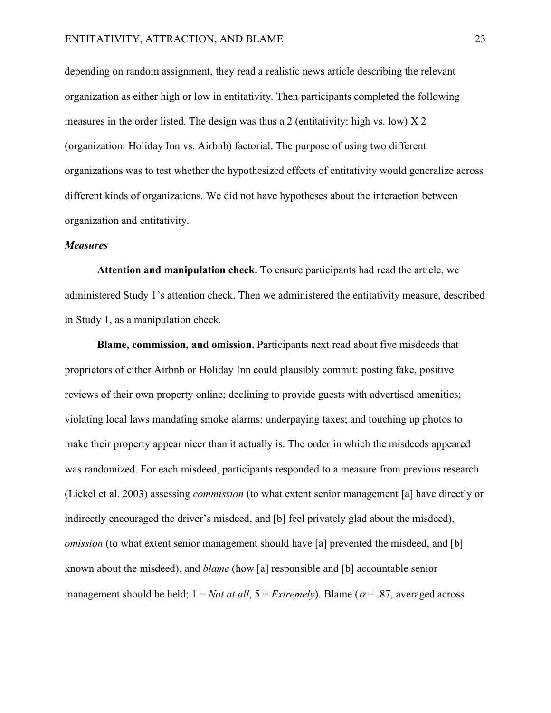depending on random assignment, they read a realistic news article describing the relevant organization as either high or low in entitativity. Then participants completed the following measures in the order listed. The design was thus a 2 (entitativity: high vs. low)  $X$  2 (organization: Holiday Inn vs. Airbnb) factorial. The purpose of using two different organizations was to test whether the hypothesized effects of entitativity would generalize across different kinds of organizations. We did not have hypotheses about the interaction between organization and entitativity.

### *Measures*

**Attention and manipulation check.** To ensure participants had read the article, we administered Study 1's attention check. Then we administered the entitativity measure, described in Study 1, as a manipulation check.

**Blame, commission, and omission.** Participants next read about five misdeeds that proprietors of either Airbnb or Holiday Inn could plausibly commit: posting fake, positive reviews of their own property online; declining to provide guests with advertised amenities; violating local laws mandating smoke alarms; underpaying taxes; and touching up photos to make their property appear nicer than it actually is. The order in which the misdeeds appeared was randomized. For each misdeed, participants responded to a measure from previous research (Lickel et al. 2003) assessing *commission* (to what extent senior management [a] have directly or indirectly encouraged the driver's misdeed, and [b] feel privately glad about the misdeed), *omission* (to what extent senior management should have [a] prevented the misdeed, and [b] known about the misdeed), and *blame* (how [a] responsible and [b] accountable senior management should be held;  $1 = Not$  *at all*,  $5 = Extremelv$ ). Blame ( $\alpha = .87$ , averaged across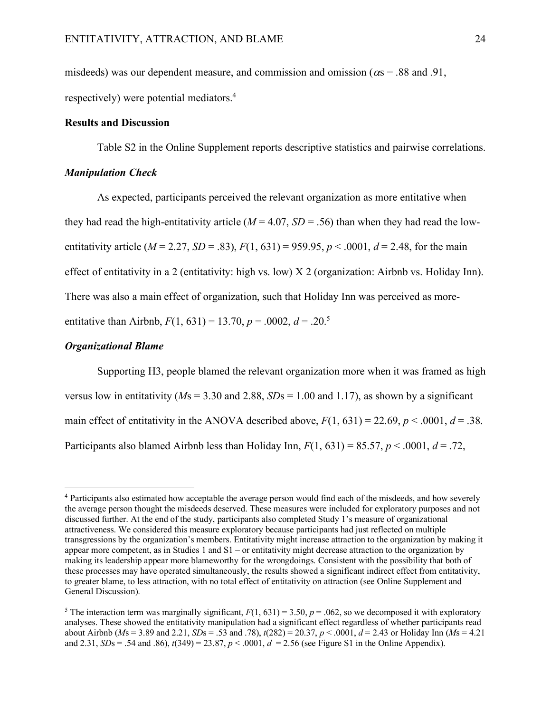misdeeds) was our dependent measure, and commission and omission ( $\alpha$ s = .88 and .91, respectively) were potential mediators.4

### **Results and Discussion**

Table S2 in the Online Supplement reports descriptive statistics and pairwise correlations.

### *Manipulation Check*

As expected, participants perceived the relevant organization as more entitative when they had read the high-entitativity article ( $M = 4.07$ ,  $SD = .56$ ) than when they had read the lowentitativity article ( $M = 2.27$ ,  $SD = .83$ ),  $F(1, 631) = 959.95$ ,  $p < .0001$ ,  $d = 2.48$ , for the main effect of entitativity in a 2 (entitativity: high vs. low) X 2 (organization: Airbnb vs. Holiday Inn). There was also a main effect of organization, such that Holiday Inn was perceived as moreentitative than Airbnb,  $F(1, 631) = 13.70$ ,  $p = .0002$ ,  $d = .20$ <sup>5</sup>

### *Organizational Blame*

Supporting H3, people blamed the relevant organization more when it was framed as high versus low in entitativity ( $Ms = 3.30$  and  $2.88$ ,  $SDs = 1.00$  and 1.17), as shown by a significant main effect of entitativity in the ANOVA described above,  $F(1, 631) = 22.69$ ,  $p < .0001$ ,  $d = .38$ . Participants also blamed Airbnb less than Holiday Inn,  $F(1, 631) = 85.57$ ,  $p < .0001$ ,  $d = .72$ ,

 <sup>4</sup> Participants also estimated how acceptable the average person would find each of the misdeeds, and how severely the average person thought the misdeeds deserved. These measures were included for exploratory purposes and not discussed further. At the end of the study, participants also completed Study 1's measure of organizational attractiveness. We considered this measure exploratory because participants had just reflected on multiple transgressions by the organization's members. Entitativity might increase attraction to the organization by making it appear more competent, as in Studies 1 and S1 – or entitativity might decrease attraction to the organization by making its leadership appear more blameworthy for the wrongdoings. Consistent with the possibility that both of these processes may have operated simultaneously, the results showed a significant indirect effect from entitativity, to greater blame, to less attraction, with no total effect of entitativity on attraction (see Online Supplement and General Discussion).

<sup>&</sup>lt;sup>5</sup> The interaction term was marginally significant,  $F(1, 631) = 3.50$ ,  $p = .062$ , so we decomposed it with exploratory analyses. These showed the entitativity manipulation had a significant effect regardless of whether participants read about Airbnb (*M*s = 3.89 and 2.21, *SD*s = .53 and .78), *t*(282) = 20.37, *p* < .0001, *d* = 2.43 or Holiday Inn (*M*s = 4.21 and 2.31, *SD*s = .54 and .86), *t*(349) = 23.87, *p* < .0001, *d* = 2.56 (see Figure S1 in the Online Appendix).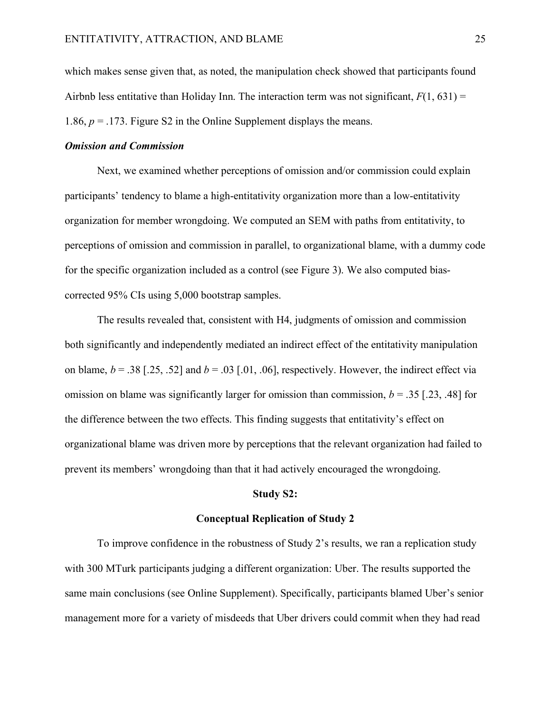which makes sense given that, as noted, the manipulation check showed that participants found Airbnb less entitative than Holiday Inn. The interaction term was not significant,  $F(1, 631) =$ 1.86,  $p = 0.173$ . Figure S2 in the Online Supplement displays the means.

### *Omission and Commission*

Next, we examined whether perceptions of omission and/or commission could explain participants' tendency to blame a high-entitativity organization more than a low-entitativity organization for member wrongdoing. We computed an SEM with paths from entitativity, to perceptions of omission and commission in parallel, to organizational blame, with a dummy code for the specific organization included as a control (see Figure 3). We also computed biascorrected 95% CIs using 5,000 bootstrap samples.

The results revealed that, consistent with H4, judgments of omission and commission both significantly and independently mediated an indirect effect of the entitativity manipulation on blame,  $b = .38$  [.25, .52] and  $b = .03$  [.01, .06], respectively. However, the indirect effect via omission on blame was significantly larger for omission than commission,  $b = .35$  [.23, .48] for the difference between the two effects. This finding suggests that entitativity's effect on organizational blame was driven more by perceptions that the relevant organization had failed to prevent its members' wrongdoing than that it had actively encouraged the wrongdoing.

#### **Study S2:**

#### **Conceptual Replication of Study 2**

To improve confidence in the robustness of Study 2's results, we ran a replication study with 300 MTurk participants judging a different organization: Uber. The results supported the same main conclusions (see Online Supplement). Specifically, participants blamed Uber's senior management more for a variety of misdeeds that Uber drivers could commit when they had read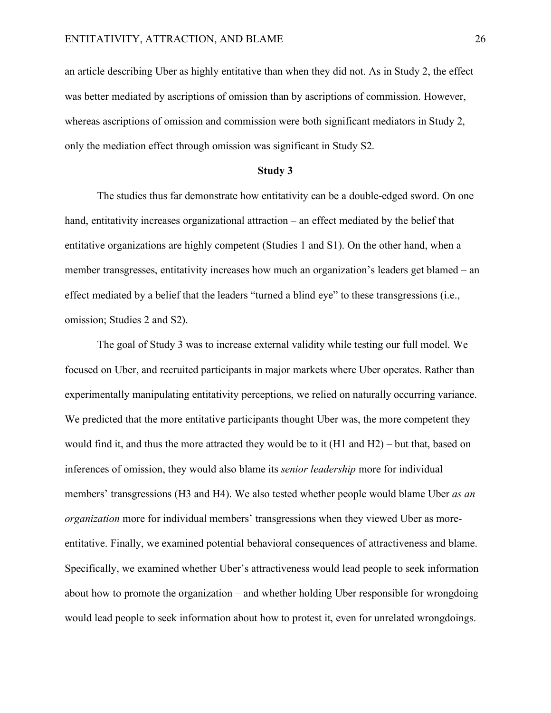an article describing Uber as highly entitative than when they did not. As in Study 2, the effect was better mediated by ascriptions of omission than by ascriptions of commission. However, whereas ascriptions of omission and commission were both significant mediators in Study 2, only the mediation effect through omission was significant in Study S2.

### **Study 3**

The studies thus far demonstrate how entitativity can be a double-edged sword. On one hand, entitativity increases organizational attraction – an effect mediated by the belief that entitative organizations are highly competent (Studies 1 and S1). On the other hand, when a member transgresses, entitativity increases how much an organization's leaders get blamed – an effect mediated by a belief that the leaders "turned a blind eye" to these transgressions (i.e., omission; Studies 2 and S2).

The goal of Study 3 was to increase external validity while testing our full model. We focused on Uber, and recruited participants in major markets where Uber operates. Rather than experimentally manipulating entitativity perceptions, we relied on naturally occurring variance. We predicted that the more entitative participants thought Uber was, the more competent they would find it, and thus the more attracted they would be to it (H1 and H2) – but that, based on inferences of omission, they would also blame its *senior leadership* more for individual members' transgressions (H3 and H4). We also tested whether people would blame Uber *as an organization* more for individual members' transgressions when they viewed Uber as moreentitative. Finally, we examined potential behavioral consequences of attractiveness and blame. Specifically, we examined whether Uber's attractiveness would lead people to seek information about how to promote the organization – and whether holding Uber responsible for wrongdoing would lead people to seek information about how to protest it, even for unrelated wrongdoings.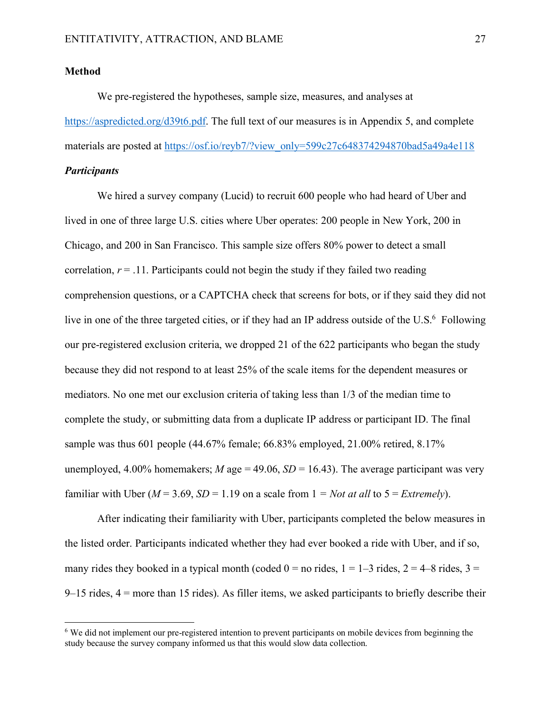# **Method**

We pre-registered the hypotheses, sample size, measures, and analyses at https://aspredicted.org/d39t6.pdf. The full text of our measures is in Appendix 5, and complete materials are posted at https://osf.io/reyb7/?view\_only=599c27c648374294870bad5a49a4e118

# *Participants*

We hired a survey company (Lucid) to recruit 600 people who had heard of Uber and lived in one of three large U.S. cities where Uber operates: 200 people in New York, 200 in Chicago, and 200 in San Francisco. This sample size offers 80% power to detect a small correlation,  $r = 0.11$ . Participants could not begin the study if they failed two reading comprehension questions, or a CAPTCHA check that screens for bots, or if they said they did not live in one of the three targeted cities, or if they had an IP address outside of the U.S.<sup>6</sup> Following our pre-registered exclusion criteria, we dropped 21 of the 622 participants who began the study because they did not respond to at least 25% of the scale items for the dependent measures or mediators. No one met our exclusion criteria of taking less than 1/3 of the median time to complete the study, or submitting data from a duplicate IP address or participant ID. The final sample was thus 601 people (44.67% female; 66.83% employed, 21.00% retired, 8.17% unemployed, 4.00% homemakers; *M* age = 49.06,  $SD = 16.43$ ). The average participant was very familiar with Uber ( $M = 3.69$ ,  $SD = 1.19$  on a scale from  $1 = Not$  *at all* to  $5 = Extremely$ ).

After indicating their familiarity with Uber, participants completed the below measures in the listed order. Participants indicated whether they had ever booked a ride with Uber, and if so, many rides they booked in a typical month (coded  $0 =$  no rides,  $1 = 1-3$  rides,  $2 = 4-8$  rides,  $3 = 1-3$ 9–15 rides, 4 = more than 15 rides). As filler items, we asked participants to briefly describe their

<sup>&</sup>lt;sup>6</sup> We did not implement our pre-registered intention to prevent participants on mobile devices from beginning the study because the survey company informed us that this would slow data collection.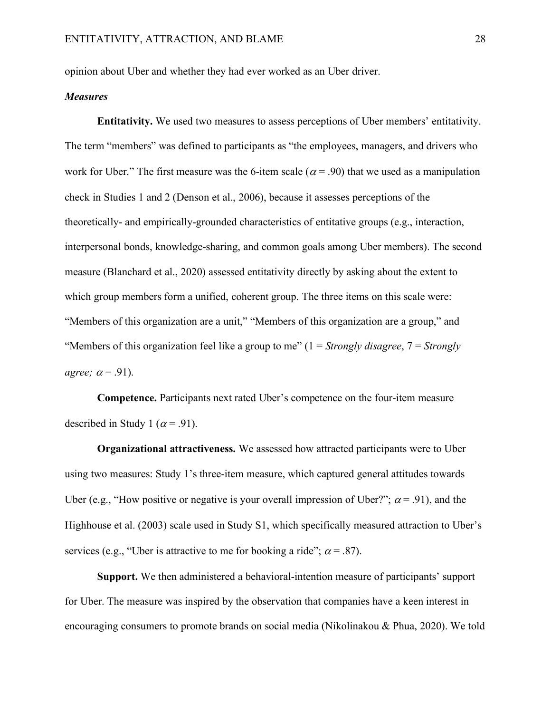opinion about Uber and whether they had ever worked as an Uber driver.

### *Measures*

**Entitativity.** We used two measures to assess perceptions of Uber members' entitativity. The term "members" was defined to participants as "the employees, managers, and drivers who work for Uber." The first measure was the 6-item scale ( $\alpha$  = .90) that we used as a manipulation check in Studies 1 and 2 (Denson et al., 2006), because it assesses perceptions of the theoretically- and empirically-grounded characteristics of entitative groups (e.g., interaction, interpersonal bonds, knowledge-sharing, and common goals among Uber members). The second measure (Blanchard et al., 2020) assessed entitativity directly by asking about the extent to which group members form a unified, coherent group. The three items on this scale were: "Members of this organization are a unit," "Members of this organization are a group," and "Members of this organization feel like a group to me" (1 = *Strongly disagree*, 7 = *Strongly agree;*  $\alpha$  = .91).

**Competence.** Participants next rated Uber's competence on the four-item measure described in Study 1 ( $\alpha$  = .91).

**Organizational attractiveness.** We assessed how attracted participants were to Uber using two measures: Study 1's three-item measure, which captured general attitudes towards Uber (e.g., "How positive or negative is your overall impression of Uber?";  $\alpha$  = .91), and the Highhouse et al. (2003) scale used in Study S1, which specifically measured attraction to Uber's services (e.g., "Uber is attractive to me for booking a ride";  $\alpha$  = .87).

**Support.** We then administered a behavioral-intention measure of participants' support for Uber. The measure was inspired by the observation that companies have a keen interest in encouraging consumers to promote brands on social media (Nikolinakou & Phua, 2020). We told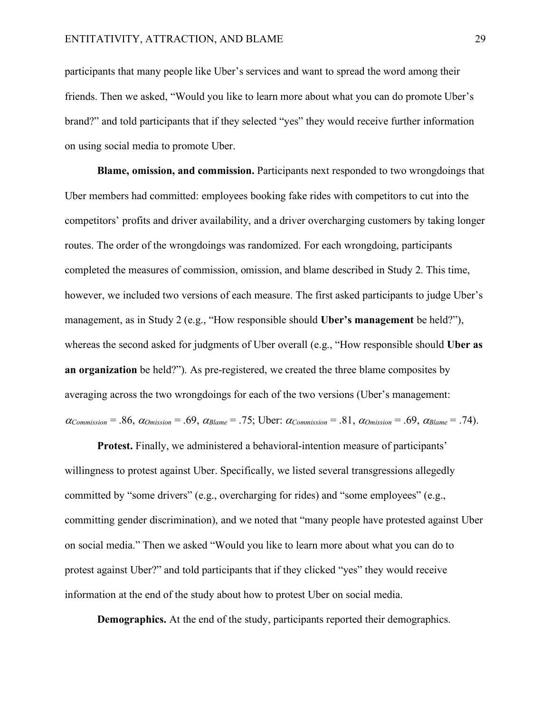participants that many people like Uber's services and want to spread the word among their friends. Then we asked, "Would you like to learn more about what you can do promote Uber's brand?" and told participants that if they selected "yes" they would receive further information on using social media to promote Uber.

**Blame, omission, and commission.** Participants next responded to two wrongdoings that Uber members had committed: employees booking fake rides with competitors to cut into the competitors' profits and driver availability, and a driver overcharging customers by taking longer routes. The order of the wrongdoings was randomized. For each wrongdoing, participants completed the measures of commission, omission, and blame described in Study 2. This time, however, we included two versions of each measure. The first asked participants to judge Uber's management, as in Study 2 (e.g., "How responsible should **Uber's management** be held?"), whereas the second asked for judgments of Uber overall (e.g., "How responsible should **Uber as an organization** be held?"). As pre-registered, we created the three blame composites by averaging across the two wrongdoings for each of the two versions (Uber's management:  $\alpha_{Commission} = .86, \ \alpha_{Omission} = .69, \ \alpha_{Blame} = .75; \ \text{Uber:} \ \alpha_{Commission} = .81, \ \alpha_{Omission} = .69, \ \alpha_{Blame} = .74).$ 

**Protest.** Finally, we administered a behavioral-intention measure of participants' willingness to protest against Uber. Specifically, we listed several transgressions allegedly committed by "some drivers" (e.g., overcharging for rides) and "some employees" (e.g., committing gender discrimination), and we noted that "many people have protested against Uber on social media." Then we asked "Would you like to learn more about what you can do to protest against Uber?" and told participants that if they clicked "yes" they would receive information at the end of the study about how to protest Uber on social media.

**Demographics.** At the end of the study, participants reported their demographics.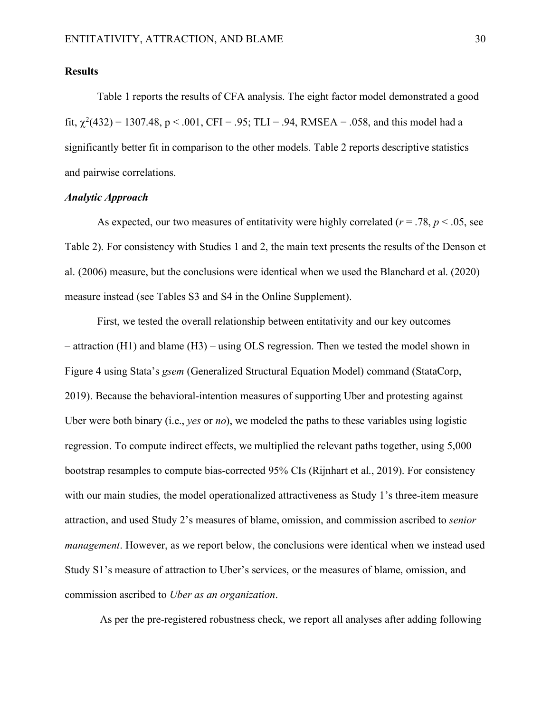# **Results**

Table 1 reports the results of CFA analysis. The eight factor model demonstrated a good fit,  $\chi^2(432) = 1307.48$ , p < .001, CFI = .95; TLI = .94, RMSEA = .058, and this model had a significantly better fit in comparison to the other models. Table 2 reports descriptive statistics and pairwise correlations.

### *Analytic Approach*

As expected, our two measures of entitativity were highly correlated ( $r = .78$ ,  $p < .05$ , see Table 2). For consistency with Studies 1 and 2, the main text presents the results of the Denson et al. (2006) measure, but the conclusions were identical when we used the Blanchard et al. (2020) measure instead (see Tables S3 and S4 in the Online Supplement).

First, we tested the overall relationship between entitativity and our key outcomes – attraction (H1) and blame (H3) – using OLS regression. Then we tested the model shown in Figure 4 using Stata's *gsem* (Generalized Structural Equation Model) command (StataCorp, 2019). Because the behavioral-intention measures of supporting Uber and protesting against Uber were both binary (i.e., *yes* or *no*), we modeled the paths to these variables using logistic regression. To compute indirect effects, we multiplied the relevant paths together, using 5,000 bootstrap resamples to compute bias-corrected 95% CIs (Rijnhart et al., 2019). For consistency with our main studies, the model operationalized attractiveness as Study 1's three-item measure attraction, and used Study 2's measures of blame, omission, and commission ascribed to *senior management*. However, as we report below, the conclusions were identical when we instead used Study S1's measure of attraction to Uber's services, or the measures of blame, omission, and commission ascribed to *Uber as an organization*.

As per the pre-registered robustness check, we report all analyses after adding following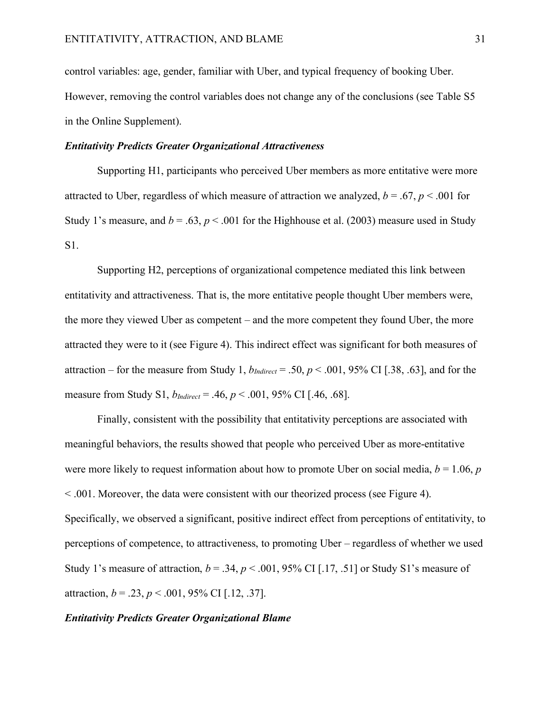control variables: age, gender, familiar with Uber, and typical frequency of booking Uber. However, removing the control variables does not change any of the conclusions (see Table S5 in the Online Supplement).

### *Entitativity Predicts Greater Organizational Attractiveness*

Supporting H1, participants who perceived Uber members as more entitative were more attracted to Uber, regardless of which measure of attraction we analyzed,  $b = .67$ ,  $p < .001$  for Study 1's measure, and  $b = .63$ ,  $p < .001$  for the Highhouse et al. (2003) measure used in Study S1.

Supporting H2, perceptions of organizational competence mediated this link between entitativity and attractiveness. That is, the more entitative people thought Uber members were, the more they viewed Uber as competent – and the more competent they found Uber, the more attracted they were to it (see Figure 4). This indirect effect was significant for both measures of attraction – for the measure from Study 1,  $b_{Indirect} = .50$ ,  $p < .001$ , 95% CI [.38, .63], and for the measure from Study S1, *bIndirect* = .46, *p* < .001, 95% CI [.46, .68].

Finally, consistent with the possibility that entitativity perceptions are associated with meaningful behaviors, the results showed that people who perceived Uber as more-entitative were more likely to request information about how to promote Uber on social media,  $b = 1.06$ , *p* < .001. Moreover, the data were consistent with our theorized process (see Figure 4). Specifically, we observed a significant, positive indirect effect from perceptions of entitativity, to perceptions of competence, to attractiveness, to promoting Uber – regardless of whether we used Study 1's measure of attraction,  $b = .34$ ,  $p < .001$ , 95% CI [.17, .51] or Study S1's measure of attraction,  $b = .23$ ,  $p < .001$ , 95% CI [.12, .37].

### *Entitativity Predicts Greater Organizational Blame*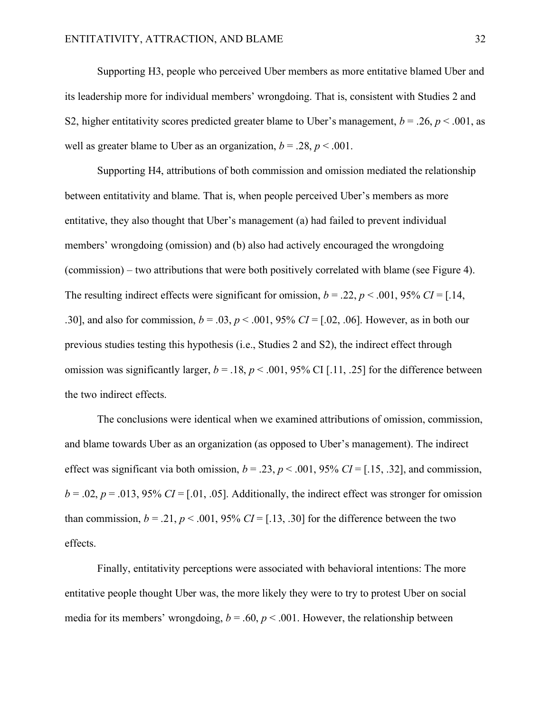Supporting H3, people who perceived Uber members as more entitative blamed Uber and its leadership more for individual members' wrongdoing. That is, consistent with Studies 2 and S2, higher entitativity scores predicted greater blame to Uber's management,  $b = 0.26$ ,  $p < 0.001$ , as well as greater blame to Uber as an organization,  $b = .28$ ,  $p < .001$ .

Supporting H4, attributions of both commission and omission mediated the relationship between entitativity and blame. That is, when people perceived Uber's members as more entitative, they also thought that Uber's management (a) had failed to prevent individual members' wrongdoing (omission) and (b) also had actively encouraged the wrongdoing (commission) – two attributions that were both positively correlated with blame (see Figure 4). The resulting indirect effects were significant for omission,  $b = 0.22$ ,  $p < 0.001$ , 95% *CI* = [.14, .30], and also for commission,  $b = .03$ ,  $p < .001$ , 95% *CI* = [.02, .06]. However, as in both our previous studies testing this hypothesis (i.e., Studies 2 and S2), the indirect effect through omission was significantly larger,  $b = 0.18$ ,  $p < 0.001$ , 95% CI [.11, .25] for the difference between the two indirect effects.

The conclusions were identical when we examined attributions of omission, commission, and blame towards Uber as an organization (as opposed to Uber's management). The indirect effect was significant via both omission,  $b = .23$ ,  $p < .001$ , 95% *CI* = [.15, .32], and commission,  $b = .02$ ,  $p = .013$ , 95% *CI* = [.01, .05]. Additionally, the indirect effect was stronger for omission than commission,  $b = .21$ ,  $p < .001$ , 95%  $CI = [.13, .30]$  for the difference between the two effects.

Finally, entitativity perceptions were associated with behavioral intentions: The more entitative people thought Uber was, the more likely they were to try to protest Uber on social media for its members' wrongdoing,  $b = .60$ ,  $p < .001$ . However, the relationship between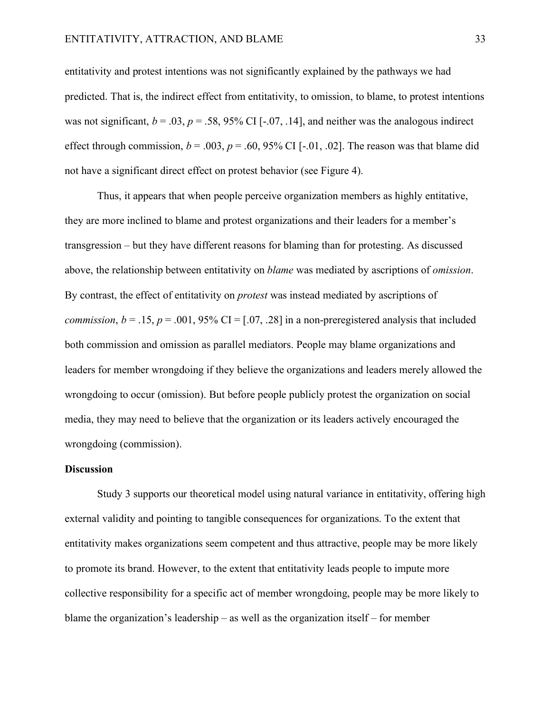entitativity and protest intentions was not significantly explained by the pathways we had predicted. That is, the indirect effect from entitativity, to omission, to blame, to protest intentions was not significant,  $b = .03$ ,  $p = .58$ , 95% CI [-.07, .14], and neither was the analogous indirect effect through commission,  $b = .003$ ,  $p = .60$ , 95% CI [-.01, .02]. The reason was that blame did not have a significant direct effect on protest behavior (see Figure 4).

Thus, it appears that when people perceive organization members as highly entitative, they are more inclined to blame and protest organizations and their leaders for a member's transgression – but they have different reasons for blaming than for protesting. As discussed above, the relationship between entitativity on *blame* was mediated by ascriptions of *omission*. By contrast, the effect of entitativity on *protest* was instead mediated by ascriptions of *commission*,  $b = .15$ ,  $p = .001$ , 95% CI = [.07, .28] in a non-preregistered analysis that included both commission and omission as parallel mediators. People may blame organizations and leaders for member wrongdoing if they believe the organizations and leaders merely allowed the wrongdoing to occur (omission). But before people publicly protest the organization on social media, they may need to believe that the organization or its leaders actively encouraged the wrongdoing (commission).

#### **Discussion**

Study 3 supports our theoretical model using natural variance in entitativity, offering high external validity and pointing to tangible consequences for organizations. To the extent that entitativity makes organizations seem competent and thus attractive, people may be more likely to promote its brand. However, to the extent that entitativity leads people to impute more collective responsibility for a specific act of member wrongdoing, people may be more likely to blame the organization's leadership – as well as the organization itself – for member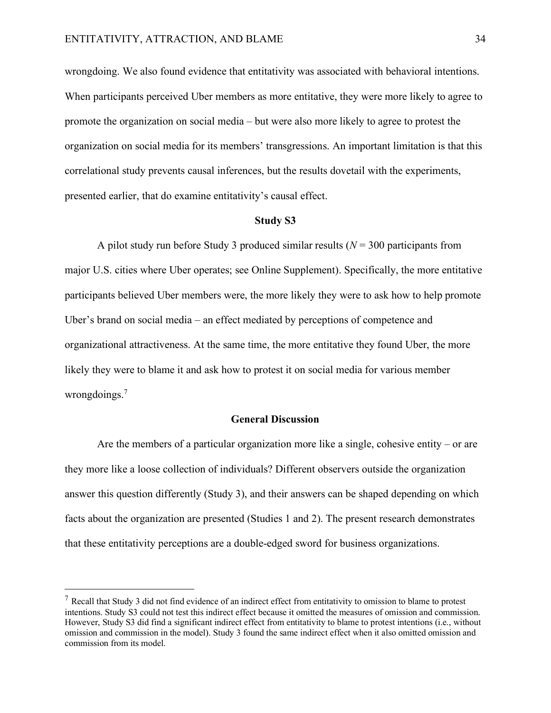wrongdoing. We also found evidence that entitativity was associated with behavioral intentions. When participants perceived Uber members as more entitative, they were more likely to agree to promote the organization on social media – but were also more likely to agree to protest the organization on social media for its members' transgressions. An important limitation is that this correlational study prevents causal inferences, but the results dovetail with the experiments, presented earlier, that do examine entitativity's causal effect.

#### **Study S3**

A pilot study run before Study 3 produced similar results (*N* = 300 participants from major U.S. cities where Uber operates; see Online Supplement). Specifically, the more entitative participants believed Uber members were, the more likely they were to ask how to help promote Uber's brand on social media – an effect mediated by perceptions of competence and organizational attractiveness. At the same time, the more entitative they found Uber, the more likely they were to blame it and ask how to protest it on social media for various member wrongdoings.<sup>7</sup>

### **General Discussion**

Are the members of a particular organization more like a single, cohesive entity – or are they more like a loose collection of individuals? Different observers outside the organization answer this question differently (Study 3), and their answers can be shaped depending on which facts about the organization are presented (Studies 1 and 2). The present research demonstrates that these entitativity perceptions are a double-edged sword for business organizations.

<sup>&</sup>lt;sup>7</sup> Recall that Study 3 did not find evidence of an indirect effect from entitativity to omission to blame to protest intentions. Study S3 could not test this indirect effect because it omitted the measures of omission and commission. However, Study S3 did find a significant indirect effect from entitativity to blame to protest intentions (i.e., without omission and commission in the model). Study 3 found the same indirect effect when it also omitted omission and commission from its model.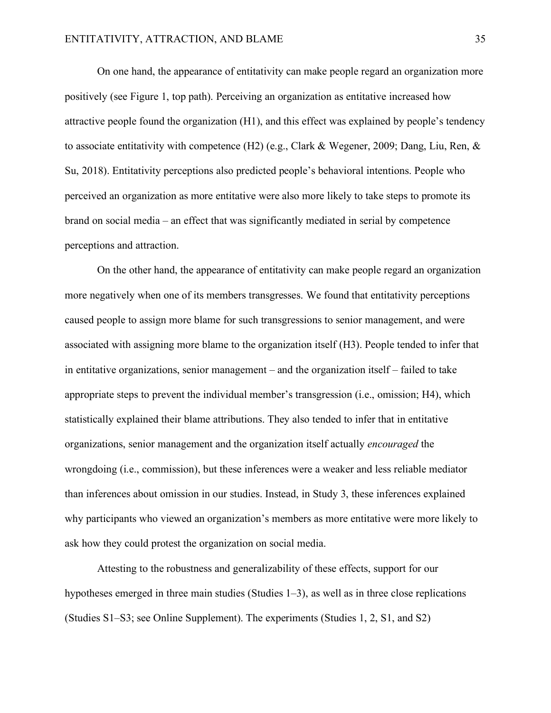On one hand, the appearance of entitativity can make people regard an organization more positively (see Figure 1, top path). Perceiving an organization as entitative increased how attractive people found the organization (H1), and this effect was explained by people's tendency to associate entitativity with competence (H2) (e.g., Clark & Wegener, 2009; Dang, Liu, Ren, & Su, 2018). Entitativity perceptions also predicted people's behavioral intentions. People who perceived an organization as more entitative were also more likely to take steps to promote its brand on social media – an effect that was significantly mediated in serial by competence perceptions and attraction.

On the other hand, the appearance of entitativity can make people regard an organization more negatively when one of its members transgresses. We found that entitativity perceptions caused people to assign more blame for such transgressions to senior management, and were associated with assigning more blame to the organization itself (H3). People tended to infer that in entitative organizations, senior management – and the organization itself – failed to take appropriate steps to prevent the individual member's transgression (i.e., omission; H4), which statistically explained their blame attributions. They also tended to infer that in entitative organizations, senior management and the organization itself actually *encouraged* the wrongdoing (i.e., commission), but these inferences were a weaker and less reliable mediator than inferences about omission in our studies. Instead, in Study 3, these inferences explained why participants who viewed an organization's members as more entitative were more likely to ask how they could protest the organization on social media.

Attesting to the robustness and generalizability of these effects, support for our hypotheses emerged in three main studies (Studies 1–3), as well as in three close replications (Studies S1–S3; see Online Supplement). The experiments (Studies 1, 2, S1, and S2)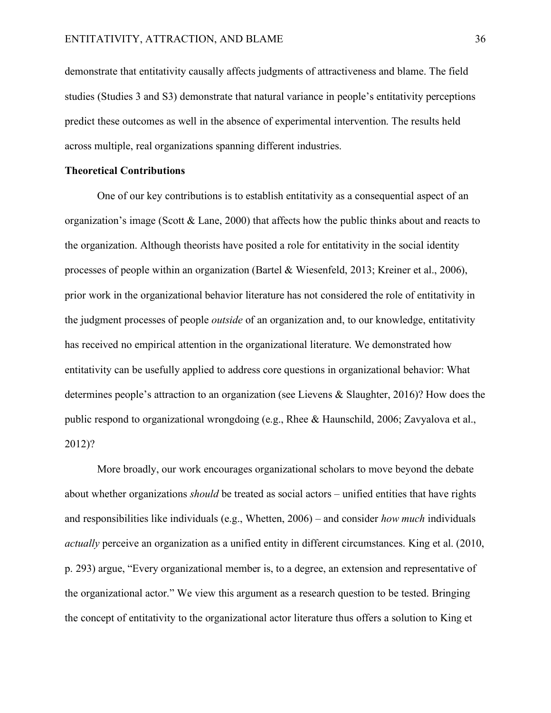demonstrate that entitativity causally affects judgments of attractiveness and blame. The field studies (Studies 3 and S3) demonstrate that natural variance in people's entitativity perceptions predict these outcomes as well in the absence of experimental intervention. The results held across multiple, real organizations spanning different industries.

### **Theoretical Contributions**

One of our key contributions is to establish entitativity as a consequential aspect of an organization's image (Scott  $&$  Lane, 2000) that affects how the public thinks about and reacts to the organization. Although theorists have posited a role for entitativity in the social identity processes of people within an organization (Bartel & Wiesenfeld, 2013; Kreiner et al., 2006), prior work in the organizational behavior literature has not considered the role of entitativity in the judgment processes of people *outside* of an organization and, to our knowledge, entitativity has received no empirical attention in the organizational literature. We demonstrated how entitativity can be usefully applied to address core questions in organizational behavior: What determines people's attraction to an organization (see Lievens & Slaughter, 2016)? How does the public respond to organizational wrongdoing (e.g., Rhee & Haunschild, 2006; Zavyalova et al., 2012)?

More broadly, our work encourages organizational scholars to move beyond the debate about whether organizations *should* be treated as social actors – unified entities that have rights and responsibilities like individuals (e.g., Whetten, 2006) – and consider *how much* individuals *actually* perceive an organization as a unified entity in different circumstances. King et al. (2010, p. 293) argue, "Every organizational member is, to a degree, an extension and representative of the organizational actor." We view this argument as a research question to be tested. Bringing the concept of entitativity to the organizational actor literature thus offers a solution to King et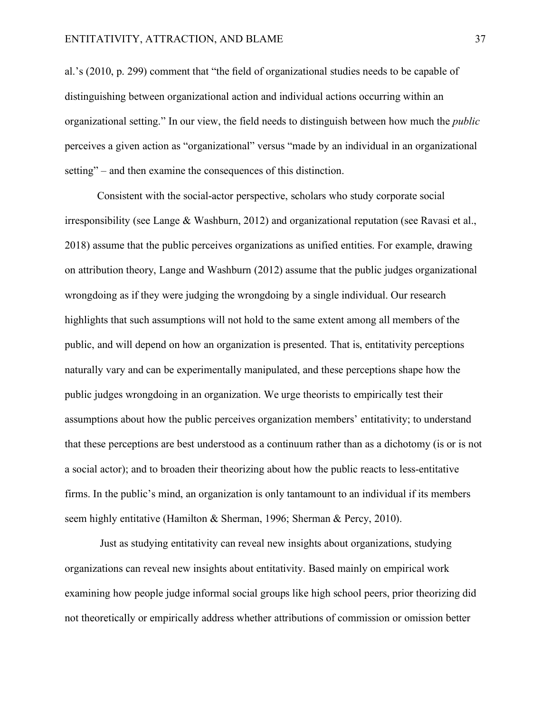al.'s (2010, p. 299) comment that "the field of organizational studies needs to be capable of distinguishing between organizational action and individual actions occurring within an organizational setting." In our view, the field needs to distinguish between how much the *public* perceives a given action as "organizational" versus "made by an individual in an organizational setting" – and then examine the consequences of this distinction.

Consistent with the social-actor perspective, scholars who study corporate social irresponsibility (see Lange & Washburn, 2012) and organizational reputation (see Ravasi et al., 2018) assume that the public perceives organizations as unified entities. For example, drawing on attribution theory, Lange and Washburn (2012) assume that the public judges organizational wrongdoing as if they were judging the wrongdoing by a single individual. Our research highlights that such assumptions will not hold to the same extent among all members of the public, and will depend on how an organization is presented. That is, entitativity perceptions naturally vary and can be experimentally manipulated, and these perceptions shape how the public judges wrongdoing in an organization. We urge theorists to empirically test their assumptions about how the public perceives organization members' entitativity; to understand that these perceptions are best understood as a continuum rather than as a dichotomy (is or is not a social actor); and to broaden their theorizing about how the public reacts to less-entitative firms. In the public's mind, an organization is only tantamount to an individual if its members seem highly entitative (Hamilton & Sherman, 1996; Sherman & Percy, 2010).

Just as studying entitativity can reveal new insights about organizations, studying organizations can reveal new insights about entitativity. Based mainly on empirical work examining how people judge informal social groups like high school peers, prior theorizing did not theoretically or empirically address whether attributions of commission or omission better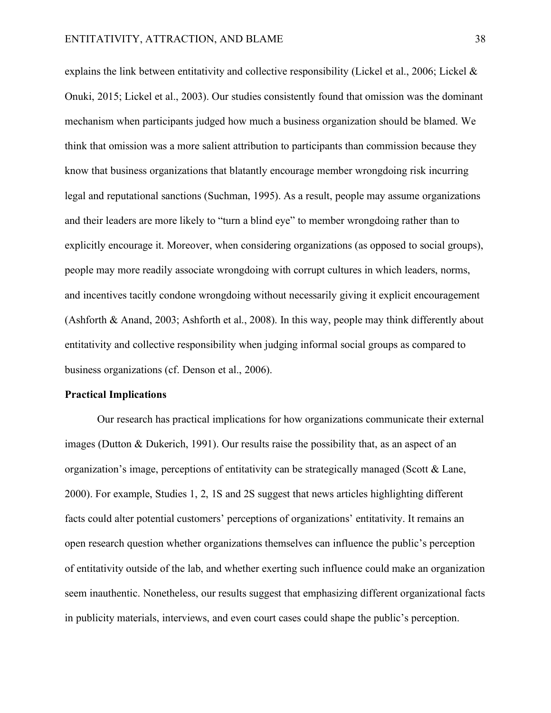explains the link between entitativity and collective responsibility (Lickel et al., 2006; Lickel  $\&$ Onuki, 2015; Lickel et al., 2003). Our studies consistently found that omission was the dominant mechanism when participants judged how much a business organization should be blamed. We think that omission was a more salient attribution to participants than commission because they know that business organizations that blatantly encourage member wrongdoing risk incurring legal and reputational sanctions (Suchman, 1995). As a result, people may assume organizations and their leaders are more likely to "turn a blind eye" to member wrongdoing rather than to explicitly encourage it. Moreover, when considering organizations (as opposed to social groups), people may more readily associate wrongdoing with corrupt cultures in which leaders, norms, and incentives tacitly condone wrongdoing without necessarily giving it explicit encouragement (Ashforth & Anand, 2003; Ashforth et al., 2008). In this way, people may think differently about entitativity and collective responsibility when judging informal social groups as compared to business organizations (cf. Denson et al., 2006).

#### **Practical Implications**

Our research has practical implications for how organizations communicate their external images (Dutton & Dukerich, 1991). Our results raise the possibility that, as an aspect of an organization's image, perceptions of entitativity can be strategically managed (Scott  $\&$  Lane, 2000). For example, Studies 1, 2, 1S and 2S suggest that news articles highlighting different facts could alter potential customers' perceptions of organizations' entitativity. It remains an open research question whether organizations themselves can influence the public's perception of entitativity outside of the lab, and whether exerting such influence could make an organization seem inauthentic. Nonetheless, our results suggest that emphasizing different organizational facts in publicity materials, interviews, and even court cases could shape the public's perception.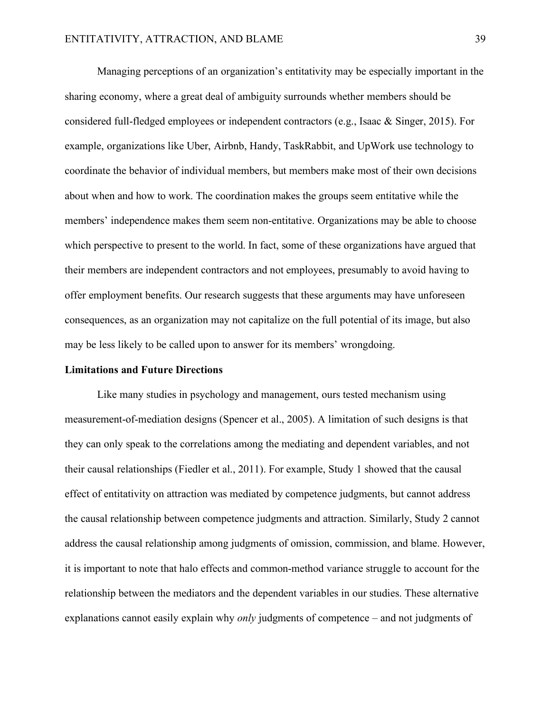Managing perceptions of an organization's entitativity may be especially important in the sharing economy, where a great deal of ambiguity surrounds whether members should be considered full-fledged employees or independent contractors (e.g., Isaac & Singer, 2015). For example, organizations like Uber, Airbnb, Handy, TaskRabbit, and UpWork use technology to coordinate the behavior of individual members, but members make most of their own decisions about when and how to work. The coordination makes the groups seem entitative while the members' independence makes them seem non-entitative. Organizations may be able to choose which perspective to present to the world. In fact, some of these organizations have argued that their members are independent contractors and not employees, presumably to avoid having to offer employment benefits. Our research suggests that these arguments may have unforeseen consequences, as an organization may not capitalize on the full potential of its image, but also may be less likely to be called upon to answer for its members' wrongdoing.

### **Limitations and Future Directions**

Like many studies in psychology and management, ours tested mechanism using measurement-of-mediation designs (Spencer et al., 2005). A limitation of such designs is that they can only speak to the correlations among the mediating and dependent variables, and not their causal relationships (Fiedler et al., 2011). For example, Study 1 showed that the causal effect of entitativity on attraction was mediated by competence judgments, but cannot address the causal relationship between competence judgments and attraction. Similarly, Study 2 cannot address the causal relationship among judgments of omission, commission, and blame. However, it is important to note that halo effects and common-method variance struggle to account for the relationship between the mediators and the dependent variables in our studies. These alternative explanations cannot easily explain why *only* judgments of competence – and not judgments of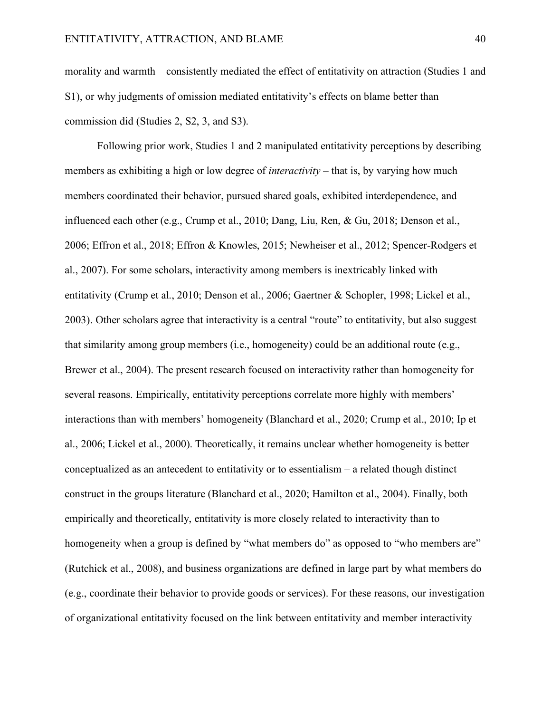morality and warmth – consistently mediated the effect of entitativity on attraction (Studies 1 and S1), or why judgments of omission mediated entitativity's effects on blame better than commission did (Studies 2, S2, 3, and S3).

Following prior work, Studies 1 and 2 manipulated entitativity perceptions by describing members as exhibiting a high or low degree of *interactivity* – that is, by varying how much members coordinated their behavior, pursued shared goals, exhibited interdependence, and influenced each other (e.g., Crump et al., 2010; Dang, Liu, Ren, & Gu, 2018; Denson et al., 2006; Effron et al., 2018; Effron & Knowles, 2015; Newheiser et al., 2012; Spencer-Rodgers et al., 2007). For some scholars, interactivity among members is inextricably linked with entitativity (Crump et al., 2010; Denson et al., 2006; Gaertner & Schopler, 1998; Lickel et al., 2003). Other scholars agree that interactivity is a central "route" to entitativity, but also suggest that similarity among group members (i.e., homogeneity) could be an additional route (e.g., Brewer et al., 2004). The present research focused on interactivity rather than homogeneity for several reasons. Empirically, entitativity perceptions correlate more highly with members' interactions than with members' homogeneity (Blanchard et al., 2020; Crump et al., 2010; Ip et al., 2006; Lickel et al., 2000). Theoretically, it remains unclear whether homogeneity is better conceptualized as an antecedent to entitativity or to essentialism – a related though distinct construct in the groups literature (Blanchard et al., 2020; Hamilton et al., 2004). Finally, both empirically and theoretically, entitativity is more closely related to interactivity than to homogeneity when a group is defined by "what members do" as opposed to "who members are" (Rutchick et al., 2008), and business organizations are defined in large part by what members do (e.g., coordinate their behavior to provide goods or services). For these reasons, our investigation of organizational entitativity focused on the link between entitativity and member interactivity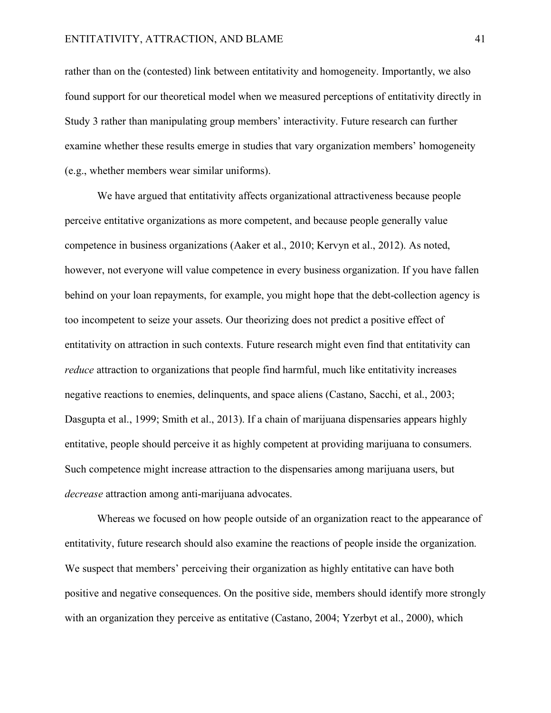rather than on the (contested) link between entitativity and homogeneity. Importantly, we also found support for our theoretical model when we measured perceptions of entitativity directly in Study 3 rather than manipulating group members' interactivity. Future research can further examine whether these results emerge in studies that vary organization members' homogeneity (e.g., whether members wear similar uniforms).

We have argued that entitativity affects organizational attractiveness because people perceive entitative organizations as more competent, and because people generally value competence in business organizations (Aaker et al., 2010; Kervyn et al., 2012). As noted, however, not everyone will value competence in every business organization. If you have fallen behind on your loan repayments, for example, you might hope that the debt-collection agency is too incompetent to seize your assets. Our theorizing does not predict a positive effect of entitativity on attraction in such contexts. Future research might even find that entitativity can *reduce* attraction to organizations that people find harmful, much like entitativity increases negative reactions to enemies, delinquents, and space aliens (Castano, Sacchi, et al., 2003; Dasgupta et al., 1999; Smith et al., 2013). If a chain of marijuana dispensaries appears highly entitative, people should perceive it as highly competent at providing marijuana to consumers. Such competence might increase attraction to the dispensaries among marijuana users, but *decrease* attraction among anti-marijuana advocates.

Whereas we focused on how people outside of an organization react to the appearance of entitativity, future research should also examine the reactions of people inside the organization. We suspect that members' perceiving their organization as highly entitative can have both positive and negative consequences. On the positive side, members should identify more strongly with an organization they perceive as entitative (Castano, 2004; Yzerbyt et al., 2000), which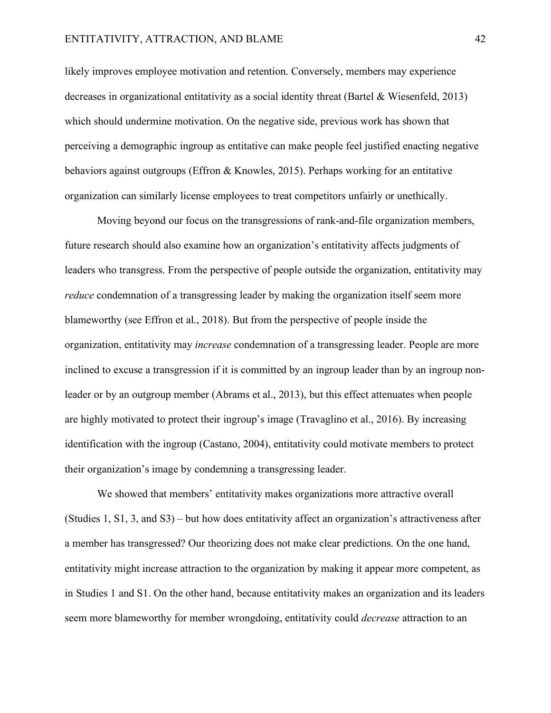### ENTITATIVITY, ATTRACTION, AND BLAME 42

likely improves employee motivation and retention. Conversely, members may experience decreases in organizational entitativity as a social identity threat (Bartel & Wiesenfeld, 2013) which should undermine motivation. On the negative side, previous work has shown that perceiving a demographic ingroup as entitative can make people feel justified enacting negative behaviors against outgroups (Effron & Knowles, 2015). Perhaps working for an entitative organization can similarly license employees to treat competitors unfairly or unethically.

Moving beyond our focus on the transgressions of rank-and-file organization members, future research should also examine how an organization's entitativity affects judgments of leaders who transgress. From the perspective of people outside the organization, entitativity may *reduce* condemnation of a transgressing leader by making the organization itself seem more blameworthy (see Effron et al., 2018). But from the perspective of people inside the organization, entitativity may *increase* condemnation of a transgressing leader. People are more inclined to excuse a transgression if it is committed by an ingroup leader than by an ingroup nonleader or by an outgroup member (Abrams et al., 2013), but this effect attenuates when people are highly motivated to protect their ingroup's image (Travaglino et al., 2016). By increasing identification with the ingroup (Castano, 2004), entitativity could motivate members to protect their organization's image by condemning a transgressing leader.

We showed that members' entitativity makes organizations more attractive overall (Studies 1, S1, 3, and S3) – but how does entitativity affect an organization's attractiveness after a member has transgressed? Our theorizing does not make clear predictions. On the one hand, entitativity might increase attraction to the organization by making it appear more competent, as in Studies 1 and S1. On the other hand, because entitativity makes an organization and its leaders seem more blameworthy for member wrongdoing, entitativity could *decrease* attraction to an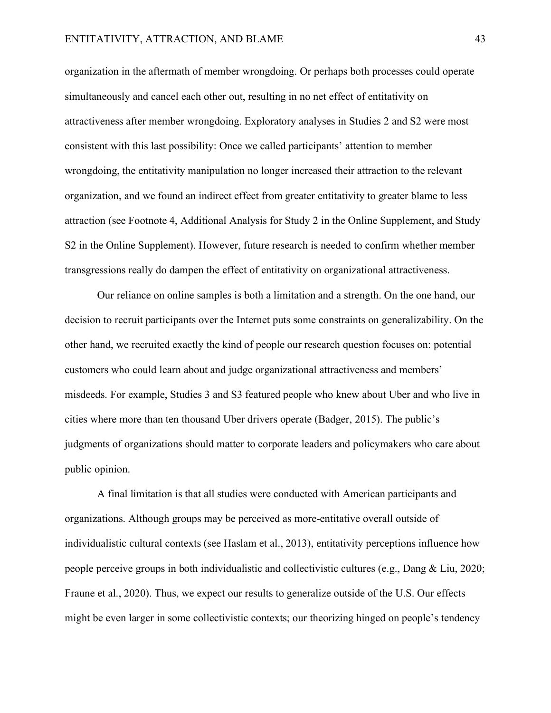organization in the aftermath of member wrongdoing. Or perhaps both processes could operate simultaneously and cancel each other out, resulting in no net effect of entitativity on attractiveness after member wrongdoing. Exploratory analyses in Studies 2 and S2 were most consistent with this last possibility: Once we called participants' attention to member wrongdoing, the entitativity manipulation no longer increased their attraction to the relevant organization, and we found an indirect effect from greater entitativity to greater blame to less attraction (see Footnote 4, Additional Analysis for Study 2 in the Online Supplement, and Study S2 in the Online Supplement). However, future research is needed to confirm whether member transgressions really do dampen the effect of entitativity on organizational attractiveness.

Our reliance on online samples is both a limitation and a strength. On the one hand, our decision to recruit participants over the Internet puts some constraints on generalizability. On the other hand, we recruited exactly the kind of people our research question focuses on: potential customers who could learn about and judge organizational attractiveness and members' misdeeds. For example, Studies 3 and S3 featured people who knew about Uber and who live in cities where more than ten thousand Uber drivers operate (Badger, 2015). The public's judgments of organizations should matter to corporate leaders and policymakers who care about public opinion.

A final limitation is that all studies were conducted with American participants and organizations. Although groups may be perceived as more-entitative overall outside of individualistic cultural contexts (see Haslam et al., 2013), entitativity perceptions influence how people perceive groups in both individualistic and collectivistic cultures (e.g., Dang & Liu, 2020; Fraune et al., 2020). Thus, we expect our results to generalize outside of the U.S. Our effects might be even larger in some collectivistic contexts; our theorizing hinged on people's tendency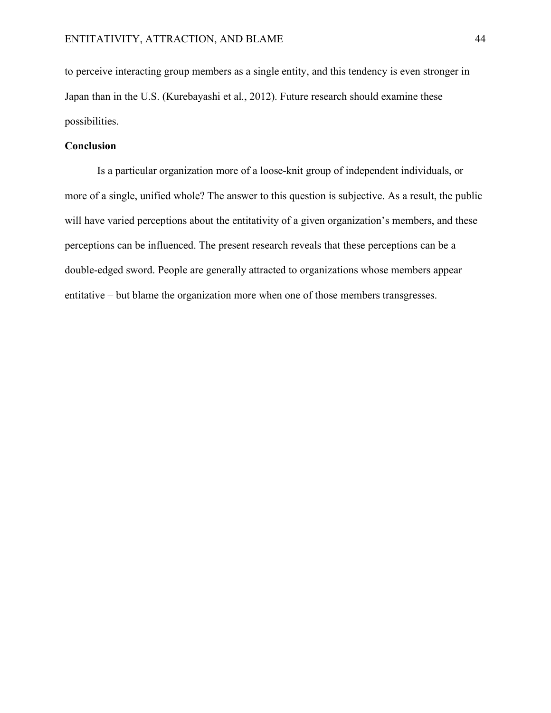to perceive interacting group members as a single entity, and this tendency is even stronger in Japan than in the U.S. (Kurebayashi et al., 2012). Future research should examine these possibilities.

# **Conclusion**

Is a particular organization more of a loose-knit group of independent individuals, or more of a single, unified whole? The answer to this question is subjective. As a result, the public will have varied perceptions about the entitativity of a given organization's members, and these perceptions can be influenced. The present research reveals that these perceptions can be a double-edged sword. People are generally attracted to organizations whose members appear entitative – but blame the organization more when one of those members transgresses.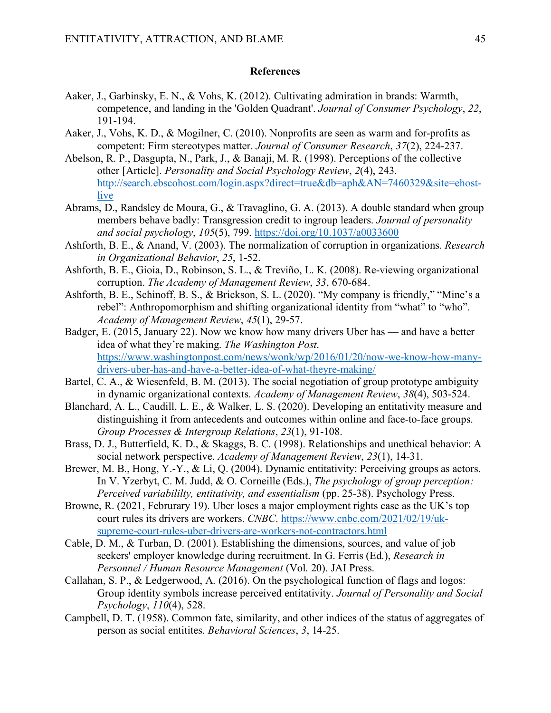# **References**

- Aaker, J., Garbinsky, E. N., & Vohs, K. (2012). Cultivating admiration in brands: Warmth, competence, and landing in the 'Golden Quadrant'. *Journal of Consumer Psychology*, *22*, 191-194.
- Aaker, J., Vohs, K. D., & Mogilner, C. (2010). Nonprofits are seen as warm and for-profits as competent: Firm stereotypes matter. *Journal of Consumer Research*, *37*(2), 224-237.
- Abelson, R. P., Dasgupta, N., Park, J., & Banaji, M. R. (1998). Perceptions of the collective other [Article]. *Personality and Social Psychology Review*, *2*(4), 243. http://search.ebscohost.com/login.aspx?direct=true&db=aph&AN=7460329&site=ehostlive
- Abrams, D., Randsley de Moura, G., & Travaglino, G. A. (2013). A double standard when group members behave badly: Transgression credit to ingroup leaders. *Journal of personality and social psychology*, *105*(5), 799. https://doi.org/10.1037/a0033600
- Ashforth, B. E., & Anand, V. (2003). The normalization of corruption in organizations. *Research in Organizational Behavior*, *25*, 1-52.
- Ashforth, B. E., Gioia, D., Robinson, S. L., & Treviño, L. K. (2008). Re-viewing organizational corruption. *The Academy of Management Review*, *33*, 670-684.
- Ashforth, B. E., Schinoff, B. S., & Brickson, S. L. (2020). "My company is friendly," "Mine's a rebel": Anthropomorphism and shifting organizational identity from "what" to "who". *Academy of Management Review*, *45*(1), 29-57.
- Badger, E. (2015, January 22). Now we know how many drivers Uber has and have a better idea of what they're making. *The Washington Post*. https://www.washingtonpost.com/news/wonk/wp/2016/01/20/now-we-know-how-manydrivers-uber-has-and-have-a-better-idea-of-what-theyre-making/
- Bartel, C. A., & Wiesenfeld, B. M. (2013). The social negotiation of group prototype ambiguity in dynamic organizational contexts. *Academy of Management Review*, *38*(4), 503-524.
- Blanchard, A. L., Caudill, L. E., & Walker, L. S. (2020). Developing an entitativity measure and distinguishing it from antecedents and outcomes within online and face-to-face groups. *Group Processes & Intergroup Relations*, *23*(1), 91-108.
- Brass, D. J., Butterfield, K. D., & Skaggs, B. C. (1998). Relationships and unethical behavior: A social network perspective. *Academy of Management Review*, *23*(1), 14-31.
- Brewer, M. B., Hong, Y.-Y., & Li, Q. (2004). Dynamic entitativity: Perceiving groups as actors. In V. Yzerbyt, C. M. Judd, & O. Corneille (Eds.), *The psychology of group perception: Perceived variabililty, entitativity, and essentialism* (pp. 25-38). Psychology Press.
- Browne, R. (2021, Februrary 19). Uber loses a major employment rights case as the UK's top court rules its drivers are workers. *CNBC*. https://www.cnbc.com/2021/02/19/uksupreme-court-rules-uber-drivers-are-workers-not-contractors.html
- Cable, D. M., & Turban, D. (2001). Establishing the dimensions, sources, and value of job seekers' employer knowledge during recruitment. In G. Ferris (Ed.), *Research in Personnel / Human Resource Management* (Vol. 20). JAI Press.
- Callahan, S. P., & Ledgerwood, A. (2016). On the psychological function of flags and logos: Group identity symbols increase perceived entitativity. *Journal of Personality and Social Psychology*, *110*(4), 528.
- Campbell, D. T. (1958). Common fate, similarity, and other indices of the status of aggregates of person as social entitites. *Behavioral Sciences*, *3*, 14-25.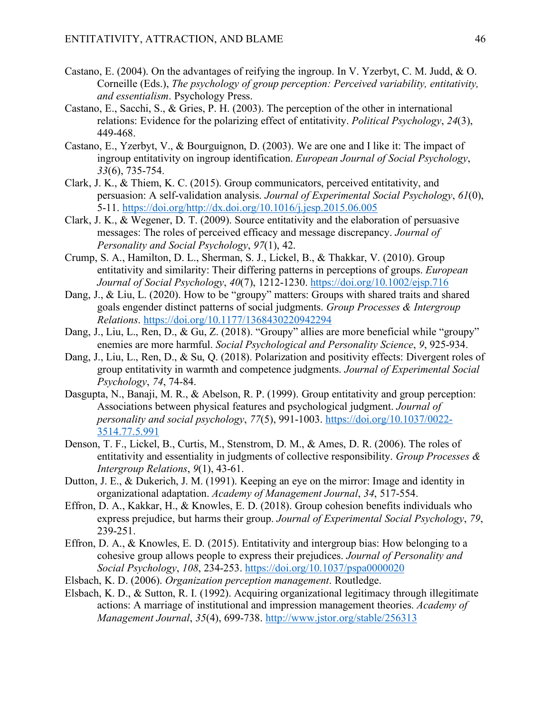- Castano, E. (2004). On the advantages of reifying the ingroup. In V. Yzerbyt, C. M. Judd, & O. Corneille (Eds.), *The psychology of group perception: Perceived variability, entitativity, and essentialism*. Psychology Press.
- Castano, E., Sacchi, S., & Gries, P. H. (2003). The perception of the other in international relations: Evidence for the polarizing effect of entitativity. *Political Psychology*, *24*(3), 449-468.
- Castano, E., Yzerbyt, V., & Bourguignon, D. (2003). We are one and I like it: The impact of ingroup entitativity on ingroup identification. *European Journal of Social Psychology*, *33*(6), 735-754.
- Clark, J. K., & Thiem, K. C. (2015). Group communicators, perceived entitativity, and persuasion: A self-validation analysis. *Journal of Experimental Social Psychology*, *61*(0), 5-11. https://doi.org/http://dx.doi.org/10.1016/j.jesp.2015.06.005
- Clark, J. K., & Wegener, D. T. (2009). Source entitativity and the elaboration of persuasive messages: The roles of perceived efficacy and message discrepancy. *Journal of Personality and Social Psychology*, *97*(1), 42.
- Crump, S. A., Hamilton, D. L., Sherman, S. J., Lickel, B., & Thakkar, V. (2010). Group entitativity and similarity: Their differing patterns in perceptions of groups. *European Journal of Social Psychology*, *40*(7), 1212-1230. https://doi.org/10.1002/ejsp.716
- Dang, J., & Liu, L. (2020). How to be "groupy" matters: Groups with shared traits and shared goals engender distinct patterns of social judgments. *Group Processes & Intergroup Relations*. https://doi.org/10.1177/1368430220942294
- Dang, J., Liu, L., Ren, D., & Gu, Z. (2018). "Groupy" allies are more beneficial while "groupy" enemies are more harmful. *Social Psychological and Personality Science*, *9*, 925-934.
- Dang, J., Liu, L., Ren, D., & Su, Q. (2018). Polarization and positivity effects: Divergent roles of group entitativity in warmth and competence judgments. *Journal of Experimental Social Psychology*, *74*, 74-84.
- Dasgupta, N., Banaji, M. R., & Abelson, R. P. (1999). Group entitativity and group perception: Associations between physical features and psychological judgment. *Journal of personality and social psychology*, *77*(5), 991-1003. https://doi.org/10.1037/0022- 3514.77.5.991
- Denson, T. F., Lickel, B., Curtis, M., Stenstrom, D. M., & Ames, D. R. (2006). The roles of entitativity and essentiality in judgments of collective responsibility. *Group Processes & Intergroup Relations*, *9*(1), 43-61.
- Dutton, J. E., & Dukerich, J. M. (1991). Keeping an eye on the mirror: Image and identity in organizational adaptation. *Academy of Management Journal*, *34*, 517-554.
- Effron, D. A., Kakkar, H., & Knowles, E. D. (2018). Group cohesion benefits individuals who express prejudice, but harms their group. *Journal of Experimental Social Psychology*, *79*, 239-251.
- Effron, D. A., & Knowles, E. D. (2015). Entitativity and intergroup bias: How belonging to a cohesive group allows people to express their prejudices. *Journal of Personality and Social Psychology*, *108*, 234-253. https://doi.org/10.1037/pspa0000020
- Elsbach, K. D. (2006). *Organization perception management*. Routledge.
- Elsbach, K. D., & Sutton, R. I. (1992). Acquiring organizational legitimacy through illegitimate actions: A marriage of institutional and impression management theories. *Academy of Management Journal*, *35*(4), 699-738. http://www.jstor.org/stable/256313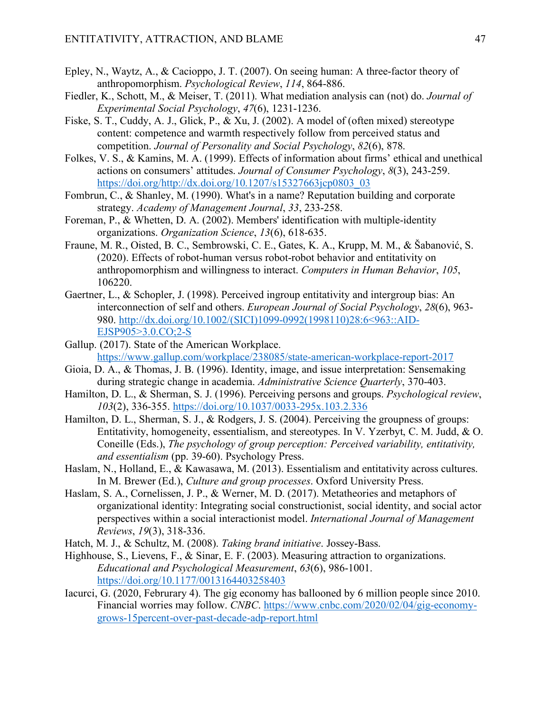- Epley, N., Waytz, A., & Cacioppo, J. T. (2007). On seeing human: A three-factor theory of anthropomorphism. *Psychological Review*, *114*, 864-886.
- Fiedler, K., Schott, M., & Meiser, T. (2011). What mediation analysis can (not) do. *Journal of Experimental Social Psychology*, *47*(6), 1231-1236.
- Fiske, S. T., Cuddy, A. J., Glick, P., & Xu, J. (2002). A model of (often mixed) stereotype content: competence and warmth respectively follow from perceived status and competition. *Journal of Personality and Social Psychology*, *82*(6), 878.
- Folkes, V. S., & Kamins, M. A. (1999). Effects of information about firms' ethical and unethical actions on consumers' attitudes. *Journal of Consumer Psychology*, *8*(3), 243-259. https://doi.org/http://dx.doi.org/10.1207/s15327663jcp0803\_03
- Fombrun, C., & Shanley, M. (1990). What's in a name? Reputation building and corporate strategy. *Academy of Management Journal*, *33*, 233-258.
- Foreman, P., & Whetten, D. A. (2002). Members' identification with multiple-identity organizations. *Organization Science*, *13*(6), 618-635.
- Fraune, M. R., Oisted, B. C., Sembrowski, C. E., Gates, K. A., Krupp, M. M., & Šabanović, S. (2020). Effects of robot-human versus robot-robot behavior and entitativity on anthropomorphism and willingness to interact. *Computers in Human Behavior*, *105*, 106220.
- Gaertner, L., & Schopler, J. (1998). Perceived ingroup entitativity and intergroup bias: An interconnection of self and others. *European Journal of Social Psychology*, *28*(6), 963- 980. http://dx.doi.org/10.1002/(SICI)1099-0992(1998110)28:6<963::AID-EJSP905>3.0.CO;2-S
- Gallup. (2017). State of the American Workplace. https://www.gallup.com/workplace/238085/state-american-workplace-report-2017
- Gioia, D. A., & Thomas, J. B. (1996). Identity, image, and issue interpretation: Sensemaking during strategic change in academia. *Administrative Science Quarterly*, 370-403.
- Hamilton, D. L., & Sherman, S. J. (1996). Perceiving persons and groups. *Psychological review*, *103*(2), 336-355. https://doi.org/10.1037/0033-295x.103.2.336
- Hamilton, D. L., Sherman, S. J., & Rodgers, J. S. (2004). Perceiving the groupness of groups: Entitativity, homogeneity, essentialism, and stereotypes. In V. Yzerbyt, C. M. Judd, & O. Coneille (Eds.), *The psychology of group perception: Perceived variability, entitativity, and essentialism* (pp. 39-60). Psychology Press.
- Haslam, N., Holland, E., & Kawasawa, M. (2013). Essentialism and entitativity across cultures. In M. Brewer (Ed.), *Culture and group processes*. Oxford University Press.
- Haslam, S. A., Cornelissen, J. P., & Werner, M. D. (2017). Metatheories and metaphors of organizational identity: Integrating social constructionist, social identity, and social actor perspectives within a social interactionist model. *International Journal of Management Reviews*, *19*(3), 318-336.
- Hatch, M. J., & Schultz, M. (2008). *Taking brand initiative*. Jossey-Bass.
- Highhouse, S., Lievens, F., & Sinar, E. F. (2003). Measuring attraction to organizations. *Educational and Psychological Measurement*, *63*(6), 986-1001. https://doi.org/10.1177/0013164403258403
- Iacurci, G. (2020, Februrary 4). The gig economy has ballooned by 6 million people since 2010. Financial worries may follow. *CNBC*. https://www.cnbc.com/2020/02/04/gig-economygrows-15percent-over-past-decade-adp-report.html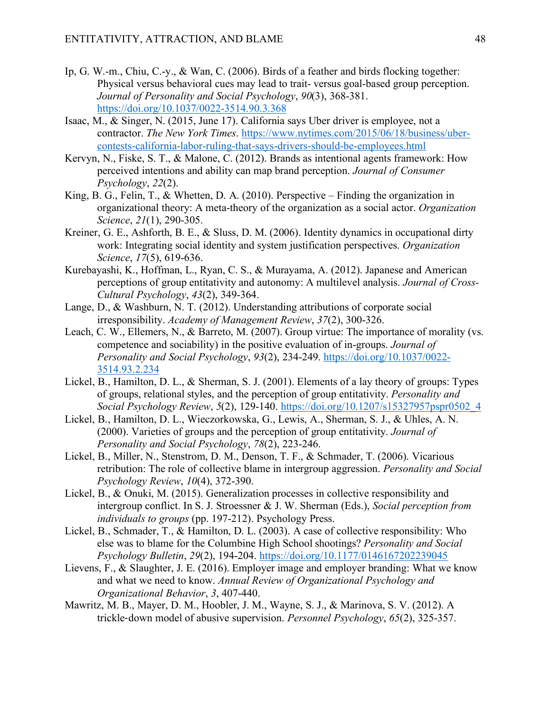- Ip, G. W.-m., Chiu, C.-y., & Wan, C. (2006). Birds of a feather and birds flocking together: Physical versus behavioral cues may lead to trait- versus goal-based group perception. *Journal of Personality and Social Psychology*, *90*(3), 368-381. https://doi.org/10.1037/0022-3514.90.3.368
- Isaac, M., & Singer, N. (2015, June 17). California says Uber driver is employee, not a contractor. *The New York Times*. https://www.nytimes.com/2015/06/18/business/ubercontests-california-labor-ruling-that-says-drivers-should-be-employees.html
- Kervyn, N., Fiske, S. T., & Malone, C. (2012). Brands as intentional agents framework: How perceived intentions and ability can map brand perception. *Journal of Consumer Psychology*, *22*(2).
- King, B. G., Felin, T., & Whetten, D. A. (2010). Perspective Finding the organization in organizational theory: A meta-theory of the organization as a social actor. *Organization Science*, *21*(1), 290-305.
- Kreiner, G. E., Ashforth, B. E., & Sluss, D. M. (2006). Identity dynamics in occupational dirty work: Integrating social identity and system justification perspectives. *Organization Science*, *17*(5), 619-636.
- Kurebayashi, K., Hoffman, L., Ryan, C. S., & Murayama, A. (2012). Japanese and American perceptions of group entitativity and autonomy: A multilevel analysis. *Journal of Cross-Cultural Psychology*, *43*(2), 349-364.
- Lange, D., & Washburn, N. T. (2012). Understanding attributions of corporate social irresponsibility. *Academy of Management Review*, *37*(2), 300-326.
- Leach, C. W., Ellemers, N., & Barreto, M. (2007). Group virtue: The importance of morality (vs. competence and sociability) in the positive evaluation of in-groups. *Journal of Personality and Social Psychology*, *93*(2), 234-249. https://doi.org/10.1037/0022- 3514.93.2.234
- Lickel, B., Hamilton, D. L., & Sherman, S. J. (2001). Elements of a lay theory of groups: Types of groups, relational styles, and the perception of group entitativity. *Personality and Social Psychology Review*, *5*(2), 129-140. https://doi.org/10.1207/s15327957pspr0502\_4
- Lickel, B., Hamilton, D. L., Wieczorkowska, G., Lewis, A., Sherman, S. J., & Uhles, A. N. (2000). Varieties of groups and the perception of group entitativity. *Journal of Personality and Social Psychology*, *78*(2), 223-246.
- Lickel, B., Miller, N., Stenstrom, D. M., Denson, T. F., & Schmader, T. (2006). Vicarious retribution: The role of collective blame in intergroup aggression. *Personality and Social Psychology Review*, *10*(4), 372-390.
- Lickel, B., & Onuki, M. (2015). Generalization processes in collective responsibility and intergroup conflict. In S. J. Stroessner & J. W. Sherman (Eds.), *Social perception from individuals to groups* (pp. 197-212). Psychology Press.
- Lickel, B., Schmader, T., & Hamilton, D. L. (2003). A case of collective responsibility: Who else was to blame for the Columbine High School shootings? *Personality and Social Psychology Bulletin*, *29*(2), 194-204. https://doi.org/10.1177/0146167202239045
- Lievens, F., & Slaughter, J. E. (2016). Employer image and employer branding: What we know and what we need to know. *Annual Review of Organizational Psychology and Organizational Behavior*, *3*, 407-440.
- Mawritz, M. B., Mayer, D. M., Hoobler, J. M., Wayne, S. J., & Marinova, S. V. (2012). A trickle-down model of abusive supervision. *Personnel Psychology*, *65*(2), 325-357.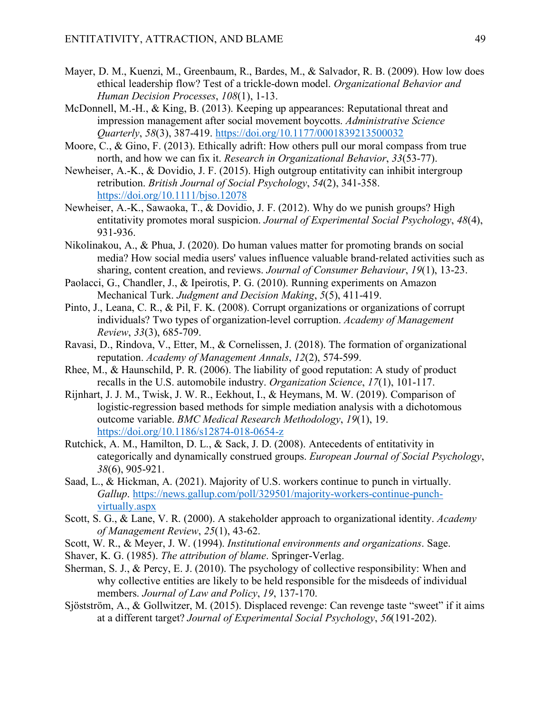- Mayer, D. M., Kuenzi, M., Greenbaum, R., Bardes, M., & Salvador, R. B. (2009). How low does ethical leadership flow? Test of a trickle-down model. *Organizational Behavior and Human Decision Processes*, *108*(1), 1-13.
- McDonnell, M.-H., & King, B. (2013). Keeping up appearances: Reputational threat and impression management after social movement boycotts. *Administrative Science Quarterly*, *58*(3), 387-419. https://doi.org/10.1177/0001839213500032
- Moore, C., & Gino, F. (2013). Ethically adrift: How others pull our moral compass from true north, and how we can fix it. *Research in Organizational Behavior*, *33*(53-77).
- Newheiser, A.-K., & Dovidio, J. F. (2015). High outgroup entitativity can inhibit intergroup retribution. *British Journal of Social Psychology*, *54*(2), 341-358. https://doi.org/10.1111/bjso.12078
- Newheiser, A.-K., Sawaoka, T., & Dovidio, J. F. (2012). Why do we punish groups? High entitativity promotes moral suspicion. *Journal of Experimental Social Psychology*, *48*(4), 931-936.
- Nikolinakou, A., & Phua, J. (2020). Do human values matter for promoting brands on social media? How social media users' values influence valuable brand-related activities such as sharing, content creation, and reviews. *Journal of Consumer Behaviour*, *19*(1), 13-23.
- Paolacci, G., Chandler, J., & Ipeirotis, P. G. (2010). Running experiments on Amazon Mechanical Turk. *Judgment and Decision Making*, *5*(5), 411-419.
- Pinto, J., Leana, C. R., & Pil, F. K. (2008). Corrupt organizations or organizations of corrupt individuals? Two types of organization-level corruption. *Academy of Management Review*, *33*(3), 685-709.
- Ravasi, D., Rindova, V., Etter, M., & Cornelissen, J. (2018). The formation of organizational reputation. *Academy of Management Annals*, *12*(2), 574-599.
- Rhee, M., & Haunschild, P. R. (2006). The liability of good reputation: A study of product recalls in the U.S. automobile industry. *Organization Science*, *17*(1), 101-117.
- Rijnhart, J. J. M., Twisk, J. W. R., Eekhout, I., & Heymans, M. W. (2019). Comparison of logistic-regression based methods for simple mediation analysis with a dichotomous outcome variable. *BMC Medical Research Methodology*, *19*(1), 19. https://doi.org/10.1186/s12874-018-0654-z
- Rutchick, A. M., Hamilton, D. L., & Sack, J. D. (2008). Antecedents of entitativity in categorically and dynamically construed groups. *European Journal of Social Psychology*, *38*(6), 905-921.
- Saad, L., & Hickman, A. (2021). Majority of U.S. workers continue to punch in virtually. *Gallup*. https://news.gallup.com/poll/329501/majority-workers-continue-punchvirtually.aspx
- Scott, S. G., & Lane, V. R. (2000). A stakeholder approach to organizational identity. *Academy of Management Review*, *25*(1), 43-62.
- Scott, W. R., & Meyer, J. W. (1994). *Institutional environments and organizations*. Sage.
- Shaver, K. G. (1985). *The attribution of blame*. Springer-Verlag.
- Sherman, S. J., & Percy, E. J. (2010). The psychology of collective responsibility: When and why collective entities are likely to be held responsible for the misdeeds of individual members. *Journal of Law and Policy*, *19*, 137-170.
- Sjöstström, A., & Gollwitzer, M. (2015). Displaced revenge: Can revenge taste "sweet" if it aims at a different target? *Journal of Experimental Social Psychology*, *56*(191-202).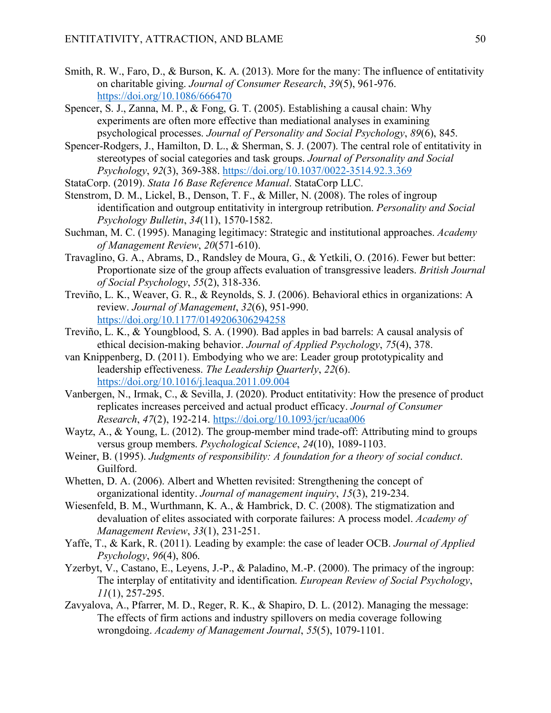- Smith, R. W., Faro, D., & Burson, K. A. (2013). More for the many: The influence of entitativity on charitable giving. *Journal of Consumer Research*, *39*(5), 961-976. https://doi.org/10.1086/666470
- Spencer, S. J., Zanna, M. P., & Fong, G. T. (2005). Establishing a causal chain: Why experiments are often more effective than mediational analyses in examining psychological processes. *Journal of Personality and Social Psychology*, *89*(6), 845.
- Spencer-Rodgers, J., Hamilton, D. L., & Sherman, S. J. (2007). The central role of entitativity in stereotypes of social categories and task groups. *Journal of Personality and Social Psychology*, *92*(3), 369-388. https://doi.org/10.1037/0022-3514.92.3.369
- StataCorp. (2019). *Stata 16 Base Reference Manual*. StataCorp LLC.
- Stenstrom, D. M., Lickel, B., Denson, T. F., & Miller, N. (2008). The roles of ingroup identification and outgroup entitativity in intergroup retribution. *Personality and Social Psychology Bulletin*, *34*(11), 1570-1582.
- Suchman, M. C. (1995). Managing legitimacy: Strategic and institutional approaches. *Academy of Management Review*, *20*(571-610).
- Travaglino, G. A., Abrams, D., Randsley de Moura, G., & Yetkili, O. (2016). Fewer but better: Proportionate size of the group affects evaluation of transgressive leaders. *British Journal of Social Psychology*, *55*(2), 318-336.
- Treviño, L. K., Weaver, G. R., & Reynolds, S. J. (2006). Behavioral ethics in organizations: A review. *Journal of Management*, *32*(6), 951-990. https://doi.org/10.1177/0149206306294258
- Treviño, L. K., & Youngblood, S. A. (1990). Bad apples in bad barrels: A causal analysis of ethical decision-making behavior. *Journal of Applied Psychology*, *75*(4), 378.
- van Knippenberg, D. (2011). Embodying who we are: Leader group prototypicality and leadership effectiveness. *The Leadership Quarterly*, *22*(6). https://doi.org/10.1016/j.leaqua.2011.09.004
- Vanbergen, N., Irmak, C., & Sevilla, J. (2020). Product entitativity: How the presence of product replicates increases perceived and actual product efficacy. *Journal of Consumer Research*, *47*(2), 192-214. https://doi.org/10.1093/jcr/ucaa006
- Waytz, A., & Young, L. (2012). The group-member mind trade-off: Attributing mind to groups versus group members. *Psychological Science*, *24*(10), 1089-1103.
- Weiner, B. (1995). *Judgments of responsibility: A foundation for a theory of social conduct*. Guilford.
- Whetten, D. A. (2006). Albert and Whetten revisited: Strengthening the concept of organizational identity. *Journal of management inquiry*, *15*(3), 219-234.
- Wiesenfeld, B. M., Wurthmann, K. A., & Hambrick, D. C. (2008). The stigmatization and devaluation of elites associated with corporate failures: A process model. *Academy of Management Review*, *33*(1), 231-251.
- Yaffe, T., & Kark, R. (2011). Leading by example: the case of leader OCB. *Journal of Applied Psychology*, *96*(4), 806.
- Yzerbyt, V., Castano, E., Leyens, J.-P., & Paladino, M.-P. (2000). The primacy of the ingroup: The interplay of entitativity and identification. *European Review of Social Psychology*, *11*(1), 257-295.
- Zavyalova, A., Pfarrer, M. D., Reger, R. K., & Shapiro, D. L. (2012). Managing the message: The effects of firm actions and industry spillovers on media coverage following wrongdoing. *Academy of Management Journal*, *55*(5), 1079-1101.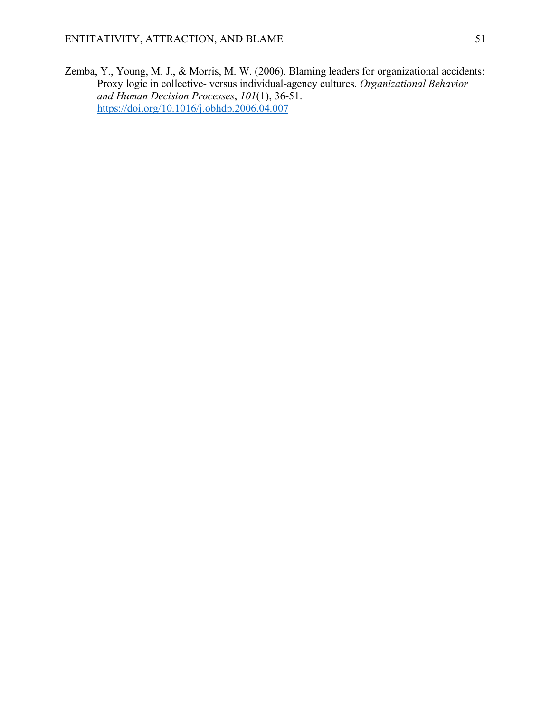Zemba, Y., Young, M. J., & Morris, M. W. (2006). Blaming leaders for organizational accidents: Proxy logic in collective- versus individual-agency cultures. *Organizational Behavior and Human Decision Processes*, *101*(1), 36-51. https://doi.org/10.1016/j.obhdp.2006.04.007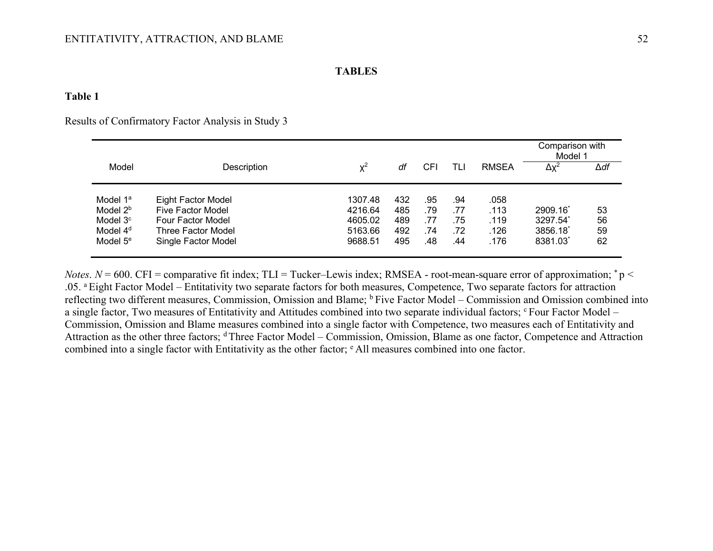# **TABLES**

# **Table 1**

# Results of Confirmatory Factor Analysis in Study 3

|                      |                           |         |     |     |     |              | Comparison with<br>Model 1 |             |  |
|----------------------|---------------------------|---------|-----|-----|-----|--------------|----------------------------|-------------|--|
| Model                | Description               | $X^2$   | df  | CFI | TLI | <b>RMSEA</b> | $\Delta \chi^2$            | $\Delta df$ |  |
| Model 1 <sup>a</sup> | <b>Eight Factor Model</b> | 1307.48 | 432 | .95 | .94 | .058         |                            |             |  |
| Model 2 <sup>b</sup> | Five Factor Model         | 4216.64 | 485 | .79 | .77 | .113         | 2909.16                    | 53          |  |
| Model 3 <sup>c</sup> | Four Factor Model         | 4605.02 | 489 | .77 | .75 | .119         | 3297.54                    | 56          |  |
| Model 4 <sup>d</sup> | Three Factor Model        | 5163.66 | 492 | .74 | .72 | .126         | 3856.18                    | 59          |  |
| Model 5 <sup>e</sup> | Single Factor Model       | 9688.51 | 495 | .48 | .44 | .176         | 8381.03                    | 62          |  |

*Notes*.  $N = 600$ . CFI = comparative fit index; TLI = Tucker–Lewis index; RMSEA - root-mean-square error of approximation;  $p <$ .05. a Eight Factor Model – Entitativity two separate factors for both measures, Competence, Two separate factors for attraction reflecting two different measures, Commission, Omission and Blame; <sup>b</sup> Five Factor Model – Commission and Omission combined into a single factor, Two measures of Entitativity and Attitudes combined into two separate individual factors; <sup>c</sup> Four Factor Model – Commission, Omission and Blame measures combined into a single factor with Competence, two measures each of Entitativity and Attraction as the other three factors; <sup>d</sup> Three Factor Model – Commission, Omission, Blame as one factor, Competence and Attraction combined into a single factor with Entitativity as the other factor; e All measures combined into one factor.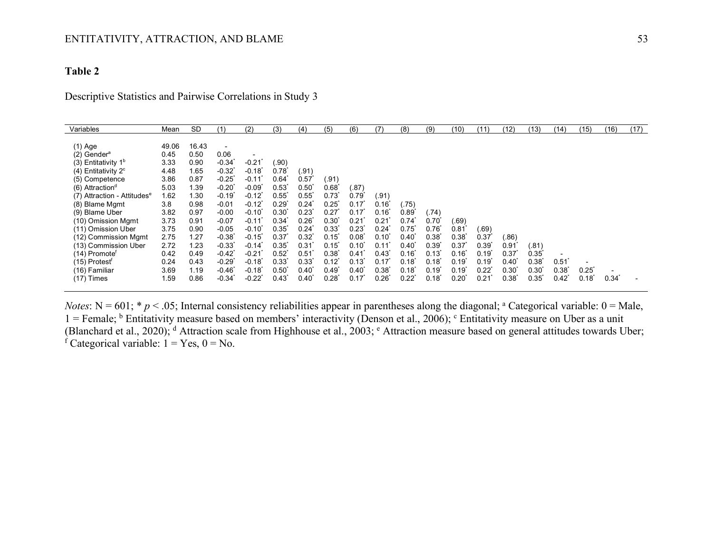# **Table 2**

Descriptive Statistics and Pairwise Correlations in Study 3

| Variables                               | Mean  | <b>SD</b> | (1)                      | (2)                      | (3)              | (4)   | (5)              | (6)              | (7)              | (8)   | (9)                 | (10)             | (11)       | (12)  | (13)             | (14)             | (15)             | (16)     | (17) |
|-----------------------------------------|-------|-----------|--------------------------|--------------------------|------------------|-------|------------------|------------------|------------------|-------|---------------------|------------------|------------|-------|------------------|------------------|------------------|----------|------|
|                                         |       |           |                          |                          |                  |       |                  |                  |                  |       |                     |                  |            |       |                  |                  |                  |          |      |
| $(1)$ Age                               | 49.06 | 16.43     | $\overline{\phantom{a}}$ |                          |                  |       |                  |                  |                  |       |                     |                  |            |       |                  |                  |                  |          |      |
| $(2)$ Gender <sup>a</sup>               | 0.45  | 0.50      | 0.06                     | $\overline{\phantom{0}}$ |                  |       |                  |                  |                  |       |                     |                  |            |       |                  |                  |                  |          |      |
| $(3)$ Entitativity 1 <sup>b</sup>       | 3.33  | 0.90      | $-0.34$                  | $-0.21$                  | (.90)            |       |                  |                  |                  |       |                     |                  |            |       |                  |                  |                  |          |      |
| $(4)$ Entitativity $2^{\circ}$          | 4.48  | 1.65      | $-0.32$                  | $-0.18$                  | 0.78             | (.91) |                  |                  |                  |       |                     |                  |            |       |                  |                  |                  |          |      |
| (5) Competence                          | 3.86  | 0.87      | $-0.25$ <sup>*</sup>     | $-0.11$                  | 0.64             | 0.57  | (.91)            |                  |                  |       |                     |                  |            |       |                  |                  |                  |          |      |
| $(6)$ Attraction <sup>d</sup>           | 5.03  | 1.39      | $-0.20$                  | $-0.09$ <sup>*</sup>     | 0.53'            | 0.50  | $0.68^{\circ}$   | (.87)            |                  |       |                     |                  |            |       |                  |                  |                  |          |      |
| (7) Attraction - Attitudes <sup>e</sup> | 1.62  | 1.30      | $-0.19$ <sup>*</sup>     | $-0.12$ <sup>*</sup>     | $0.55^{\degree}$ | 0.55  | 0.73             | $0.79^{1}$       | (.91)            |       |                     |                  |            |       |                  |                  |                  |          |      |
| (8) Blame Mgmt                          | 3.8   | 0.98      | $-0.01$                  | $-0.12$ <sup>*</sup>     | 0.29             | 0.24  | $0.25^{\degree}$ | 0.17             | $0.16^{\degree}$ | (.75) |                     |                  |            |       |                  |                  |                  |          |      |
| (9) Blame Uber                          | 3.82  | 0.97      | $-0.00$                  | $-0.10$                  | $0.30^{7}$       | 0.23  | 0.27             | 0.17             | $0.16^{\degree}$ | 0.89  | (.74)               |                  |            |       |                  |                  |                  |          |      |
| (10) Omission Mgmt                      | 3.73  | 0.91      | $-0.07$                  | $-0.11$                  | 0.34             | 0.26  | 0.30             | 0.21             | 0.21             | 0.74  | 0.70                | (.69)            |            |       |                  |                  |                  |          |      |
| (11) Omission Uber                      | 3.75  | 0.90      | $-0.05$                  | $-0.10^{\circ}$          | 0.35             | 0.24  | 0.33             | 0.23             | $0.24^{\degree}$ | 0.75  | $0.76^{\degree}$    | 0.81             | (.69)      |       |                  |                  |                  |          |      |
| (12) Commission Mgmt                    | 2.75  | 1.27      | $-0.38"$                 | $-0.15$ <sup>*</sup>     | 0.37             | 0.32  | $0.15^*$         | $0.08^*$         | $0.10^{\degree}$ | 0.40  | 0.38                | 0.38             | 0.37       | (.86) |                  |                  |                  |          |      |
| (13) Commission Uber                    | 2.72  | 1.23      | $-0.33$ <sup>*</sup>     | $-0.14$                  | $0.35^{\degree}$ | 0.31  | $0.15^{\degree}$ | $0.10^{\degree}$ | 0.11             | 0.40  | $0.39$ <sup>*</sup> | 0.37             | $0.39^{*}$ | 0.91  | (.81)            |                  |                  |          |      |
| (14) Promote <sup>f</sup>               | 0.42  | 0.49      | $-0.42$                  | $-0.21$                  | 0.52             | 0.51  | 0.38             | 0.41             | 0.43             | 0.16  | 0.13                | $0.16^{\degree}$ | 0.19       | 0.37  | $0.35^{\degree}$ |                  |                  |          |      |
| (15) Protest <sup>f</sup>               | 0.24  | 0.43      | $-0.29$ <sup>*</sup>     | $-0.18$                  | 0.33             | 0.33  | 0.12             | $0.13^{\degree}$ | 0.17             | 0.18  | 0.18                | 0.19             | $0.19^{*}$ | 0.40  | $0.38^*$         | 0.51             |                  |          |      |
| (16) Familiar                           | 3.69  | 1.19      | $-0.46$ <sup>*</sup>     | $-0.18$                  | 0.50             | 0.40  | $0.49^{*}$       | $0.40^{\degree}$ | 0.38             | 0.18  | 0.19                | 0.19             | 0.22       | 0.30  | $0.30^{\degree}$ | 0.38             | $0.25^{\degree}$ |          |      |
| $(17)$ Times                            | 59،،  | 0.86      | $-0.34$ <sup>*</sup>     | $-0.22$                  | 0.43             | 0.40  | 0.28             | 0.17             | $0.26^{\degree}$ | 0.22  | 0.18                | 0.20             | 0.21       | 0.38  | $0.35^{\degree}$ | $0.42^{\degree}$ | $0.18^{\degree}$ | $0.34^*$ |      |
|                                         |       |           |                          |                          |                  |       |                  |                  |                  |       |                     |                  |            |       |                  |                  |                  |          |      |

*Notes*:  $N = 601$ ; \*  $p < .05$ ; Internal consistency reliabilities appear in parentheses along the diagonal; <sup>a</sup> Categorical variable:  $0 =$  Male, 1 = Female; <sup>b</sup> Entitativity measure based on members' interactivity (Denson et al., 2006); <sup>c</sup> Entitativity measure on Uber as a unit (Blanchard et al., 2020); d Attraction scale from Highhouse et al., 2003; e Attraction measure based on general attitudes towards Uber;  $\hat{f}$  Categorical variable:  $1 = Yes, 0 = No$ .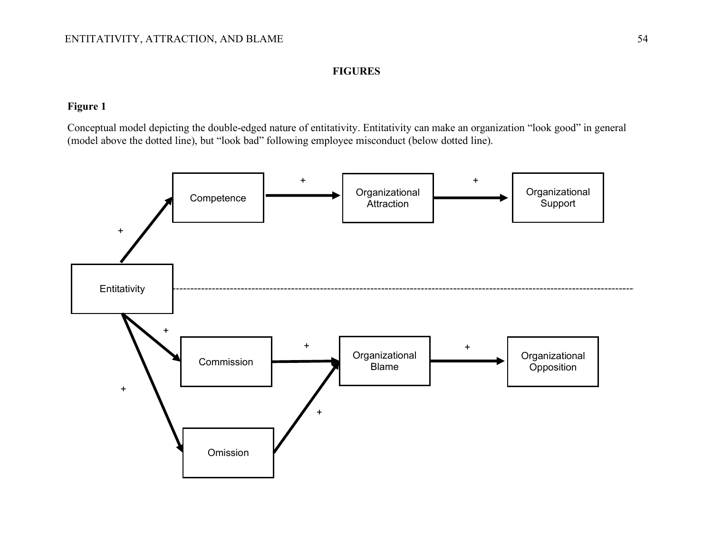# **FIGURES**

# **Figure 1**

Conceptual model depicting the double-edged nature of entitativity. Entitativity can make an organization "look good" in general (model above the dotted line), but "look bad" following employee misconduct (below dotted line).

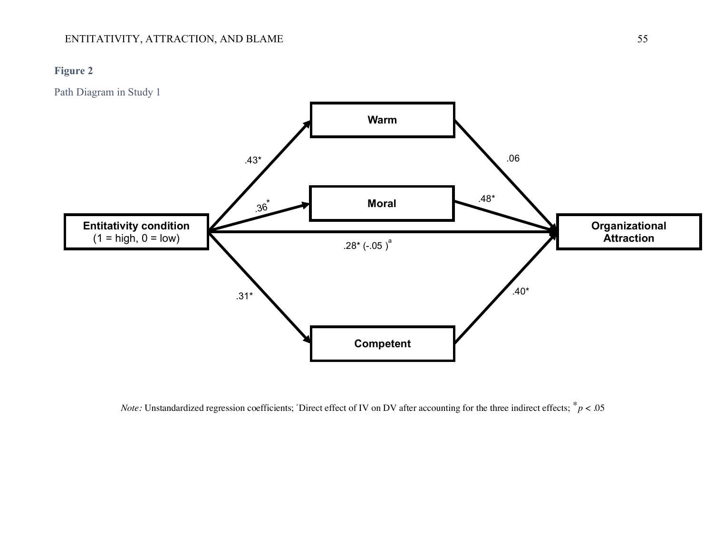# **Figure 2**

Path Diagram in Study 1



*Note*: Unstandardized regression coefficients;  $\degree$ Direct effect of IV on DV after accounting for the three indirect effects;  $\degree$ *p* < .05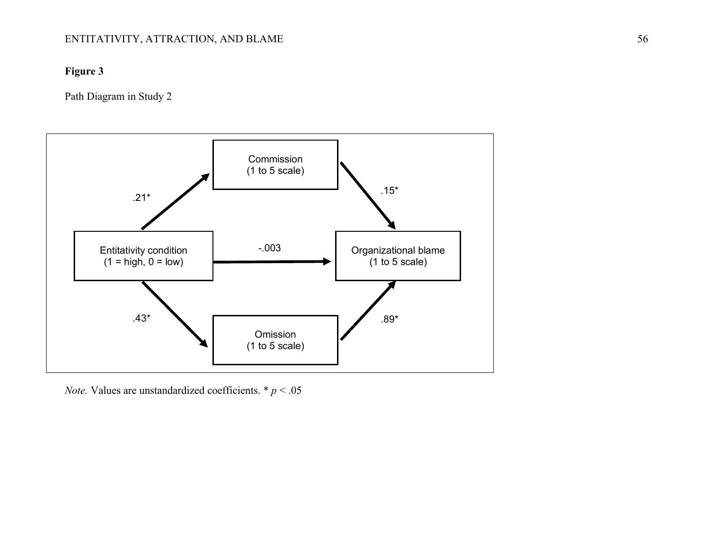# ENTITATIVITY, ATTRACTION, AND BLAME 56

# **Figure 3**

Path Diagram in Study 2



*Note.* Values are unstandardized coefficients.  $* p < .05$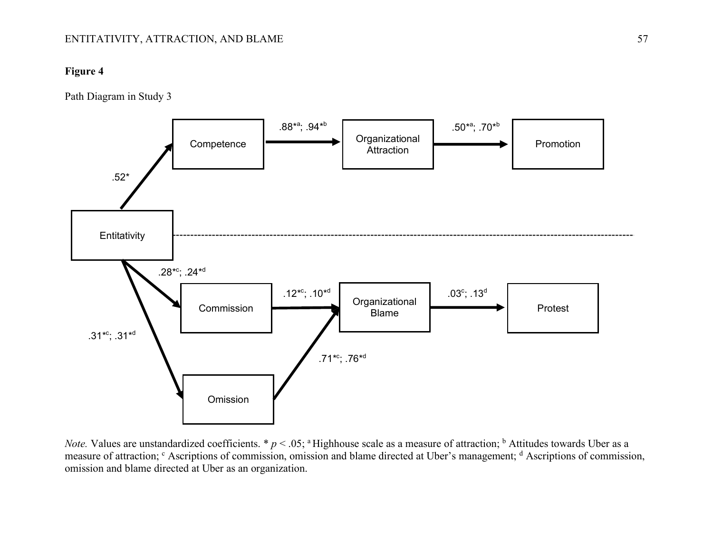# ENTITATIVITY, ATTRACTION, AND BLAME 57

# **Figure 4**

Path Diagram in Study 3



*Note.* Values are unstandardized coefficients. \*  $p < .05$ ; <sup>a</sup> Highhouse scale as a measure of attraction; <sup>b</sup> Attitudes towards Uber as a measure of attraction; <sup>c</sup> Ascriptions of commission, omission and blame directed at Uber's management; <sup>d</sup> Ascriptions of commission, omission and blame directed at Uber as an organization.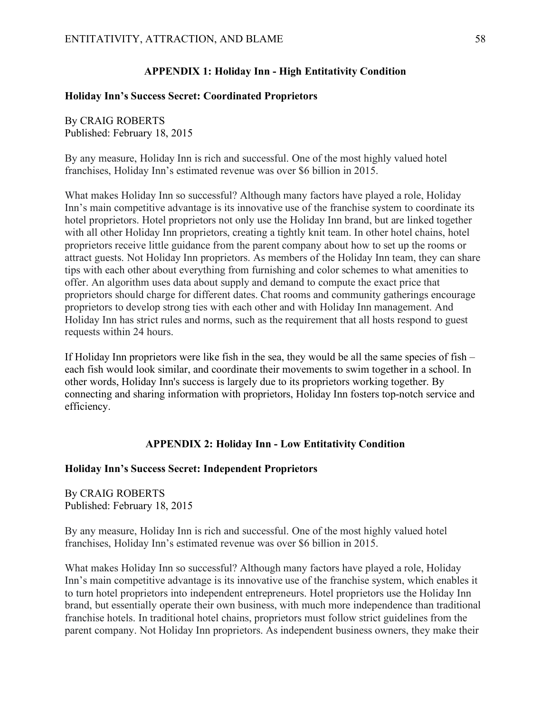# **APPENDIX 1: Holiday Inn - High Entitativity Condition**

### **Holiday Inn's Success Secret: Coordinated Proprietors**

By CRAIG ROBERTS Published: February 18, 2015

By any measure, Holiday Inn is rich and successful. One of the most highly valued hotel franchises, Holiday Inn's estimated revenue was over \$6 billion in 2015.

What makes Holiday Inn so successful? Although many factors have played a role, Holiday Inn's main competitive advantage is its innovative use of the franchise system to coordinate its hotel proprietors. Hotel proprietors not only use the Holiday Inn brand, but are linked together with all other Holiday Inn proprietors, creating a tightly knit team. In other hotel chains, hotel proprietors receive little guidance from the parent company about how to set up the rooms or attract guests. Not Holiday Inn proprietors. As members of the Holiday Inn team, they can share tips with each other about everything from furnishing and color schemes to what amenities to offer. An algorithm uses data about supply and demand to compute the exact price that proprietors should charge for different dates. Chat rooms and community gatherings encourage proprietors to develop strong ties with each other and with Holiday Inn management. And Holiday Inn has strict rules and norms, such as the requirement that all hosts respond to guest requests within 24 hours.

If Holiday Inn proprietors were like fish in the sea, they would be all the same species of fish – each fish would look similar, and coordinate their movements to swim together in a school. In other words, Holiday Inn's success is largely due to its proprietors working together. By connecting and sharing information with proprietors, Holiday Inn fosters top-notch service and efficiency.

### **APPENDIX 2: Holiday Inn - Low Entitativity Condition**

### **Holiday Inn's Success Secret: Independent Proprietors**

By CRAIG ROBERTS Published: February 18, 2015

By any measure, Holiday Inn is rich and successful. One of the most highly valued hotel franchises, Holiday Inn's estimated revenue was over \$6 billion in 2015.

What makes Holiday Inn so successful? Although many factors have played a role, Holiday Inn's main competitive advantage is its innovative use of the franchise system, which enables it to turn hotel proprietors into independent entrepreneurs. Hotel proprietors use the Holiday Inn brand, but essentially operate their own business, with much more independence than traditional franchise hotels. In traditional hotel chains, proprietors must follow strict guidelines from the parent company. Not Holiday Inn proprietors. As independent business owners, they make their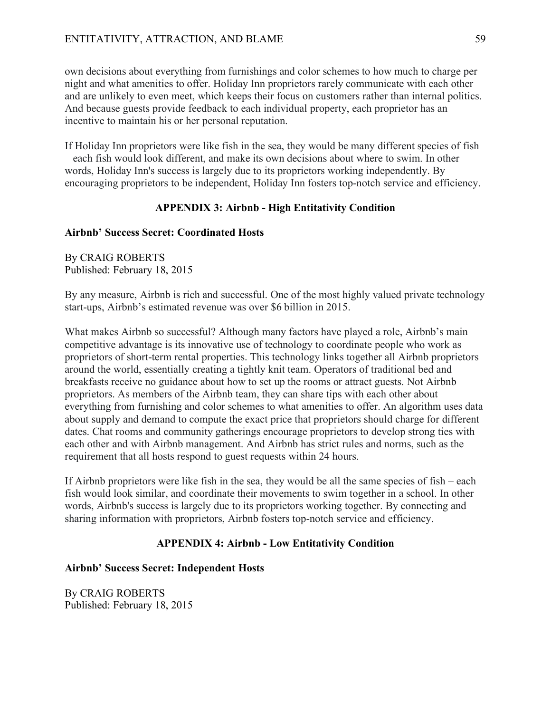# ENTITATIVITY, ATTRACTION, AND BLAME 59

own decisions about everything from furnishings and color schemes to how much to charge per night and what amenities to offer. Holiday Inn proprietors rarely communicate with each other and are unlikely to even meet, which keeps their focus on customers rather than internal politics. And because guests provide feedback to each individual property, each proprietor has an incentive to maintain his or her personal reputation.

If Holiday Inn proprietors were like fish in the sea, they would be many different species of fish – each fish would look different, and make its own decisions about where to swim. In other words, Holiday Inn's success is largely due to its proprietors working independently. By encouraging proprietors to be independent, Holiday Inn fosters top-notch service and efficiency.

# **APPENDIX 3: Airbnb - High Entitativity Condition**

# **Airbnb' Success Secret: Coordinated Hosts**

By CRAIG ROBERTS Published: February 18, 2015

By any measure, Airbnb is rich and successful. One of the most highly valued private technology start-ups, Airbnb's estimated revenue was over \$6 billion in 2015.

What makes Airbnb so successful? Although many factors have played a role, Airbnb's main competitive advantage is its innovative use of technology to coordinate people who work as proprietors of short-term rental properties. This technology links together all Airbnb proprietors around the world, essentially creating a tightly knit team. Operators of traditional bed and breakfasts receive no guidance about how to set up the rooms or attract guests. Not Airbnb proprietors. As members of the Airbnb team, they can share tips with each other about everything from furnishing and color schemes to what amenities to offer. An algorithm uses data about supply and demand to compute the exact price that proprietors should charge for different dates. Chat rooms and community gatherings encourage proprietors to develop strong ties with each other and with Airbnb management. And Airbnb has strict rules and norms, such as the requirement that all hosts respond to guest requests within 24 hours.

If Airbnb proprietors were like fish in the sea, they would be all the same species of fish – each fish would look similar, and coordinate their movements to swim together in a school. In other words, Airbnb's success is largely due to its proprietors working together. By connecting and sharing information with proprietors, Airbnb fosters top-notch service and efficiency.

### **APPENDIX 4: Airbnb - Low Entitativity Condition**

### **Airbnb' Success Secret: Independent Hosts**

By CRAIG ROBERTS Published: February 18, 2015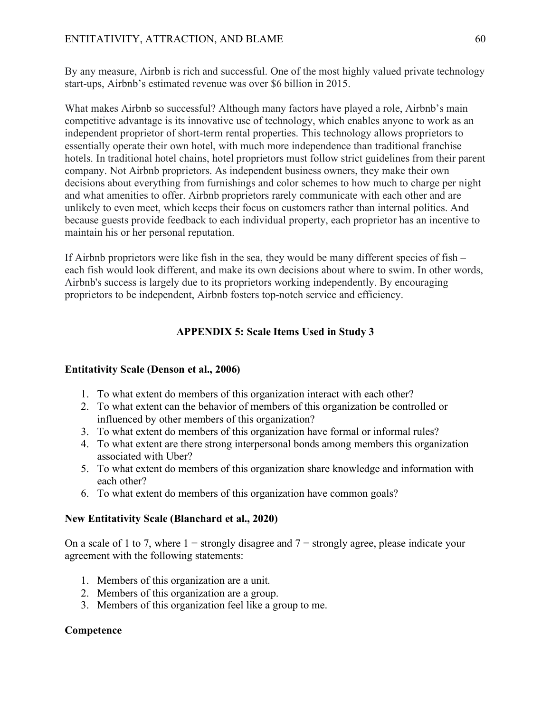# ENTITATIVITY, ATTRACTION, AND BLAME 60

By any measure, Airbnb is rich and successful. One of the most highly valued private technology start-ups, Airbnb's estimated revenue was over \$6 billion in 2015.

What makes Airbnb so successful? Although many factors have played a role, Airbnb's main competitive advantage is its innovative use of technology, which enables anyone to work as an independent proprietor of short-term rental properties. This technology allows proprietors to essentially operate their own hotel, with much more independence than traditional franchise hotels. In traditional hotel chains, hotel proprietors must follow strict guidelines from their parent company. Not Airbnb proprietors. As independent business owners, they make their own decisions about everything from furnishings and color schemes to how much to charge per night and what amenities to offer. Airbnb proprietors rarely communicate with each other and are unlikely to even meet, which keeps their focus on customers rather than internal politics. And because guests provide feedback to each individual property, each proprietor has an incentive to maintain his or her personal reputation.

If Airbnb proprietors were like fish in the sea, they would be many different species of fish – each fish would look different, and make its own decisions about where to swim. In other words, Airbnb's success is largely due to its proprietors working independently. By encouraging proprietors to be independent, Airbnb fosters top-notch service and efficiency.

# **APPENDIX 5: Scale Items Used in Study 3**

# **Entitativity Scale (Denson et al., 2006)**

- 1. To what extent do members of this organization interact with each other?
- 2. To what extent can the behavior of members of this organization be controlled or influenced by other members of this organization?
- 3. To what extent do members of this organization have formal or informal rules?
- 4. To what extent are there strong interpersonal bonds among members this organization associated with Uber?
- 5. To what extent do members of this organization share knowledge and information with each other?
- 6. To what extent do members of this organization have common goals?

### **New Entitativity Scale (Blanchard et al., 2020)**

On a scale of 1 to 7, where  $1 =$  strongly disagree and  $7 =$  strongly agree, please indicate your agreement with the following statements:

- 1. Members of this organization are a unit.
- 2. Members of this organization are a group.
- 3. Members of this organization feel like a group to me.

# **Competence**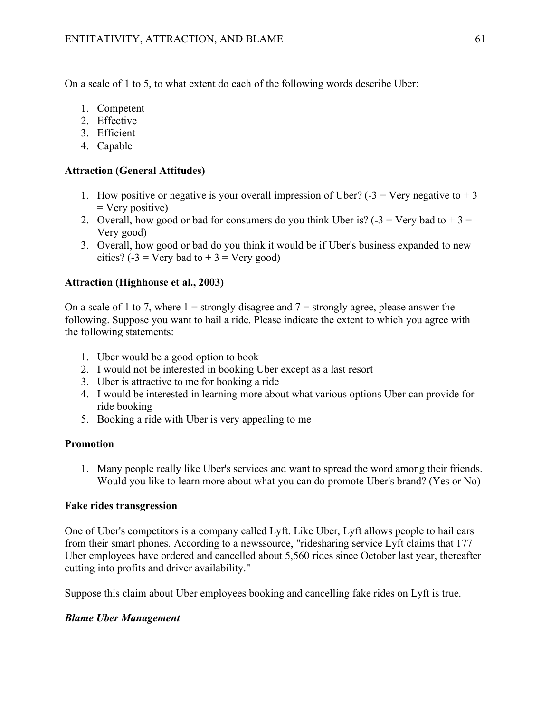On a scale of 1 to 5, to what extent do each of the following words describe Uber:

- 1. Competent
- 2. Effective
- 3. Efficient
- 4. Capable

# **Attraction (General Attitudes)**

- 1. How positive or negative is your overall impression of Uber? ( $-3$  = Very negative to  $+3$ )  $=$  Very positive)
- 2. Overall, how good or bad for consumers do you think Uber is?  $(-3)$  = Very bad to + 3 = Very good)
- 3. Overall, how good or bad do you think it would be if Uber's business expanded to new cities? ( $-3$  = Very bad to + 3 = Very good)

# **Attraction (Highhouse et al., 2003)**

On a scale of 1 to 7, where  $1 =$  strongly disagree and  $7 =$  strongly agree, please answer the following. Suppose you want to hail a ride. Please indicate the extent to which you agree with the following statements:

- 1. Uber would be a good option to book
- 2. I would not be interested in booking Uber except as a last resort
- 3. Uber is attractive to me for booking a ride
- 4. I would be interested in learning more about what various options Uber can provide for ride booking
- 5. Booking a ride with Uber is very appealing to me

# **Promotion**

1. Many people really like Uber's services and want to spread the word among their friends. Would you like to learn more about what you can do promote Uber's brand? (Yes or No)

# **Fake rides transgression**

One of Uber's competitors is a company called Lyft. Like Uber, Lyft allows people to hail cars from their smart phones. According to a newssource, "ridesharing service Lyft claims that 177 Uber employees have ordered and cancelled about 5,560 rides since October last year, thereafter cutting into profits and driver availability."

Suppose this claim about Uber employees booking and cancelling fake rides on Lyft is true.

# *Blame Uber Management*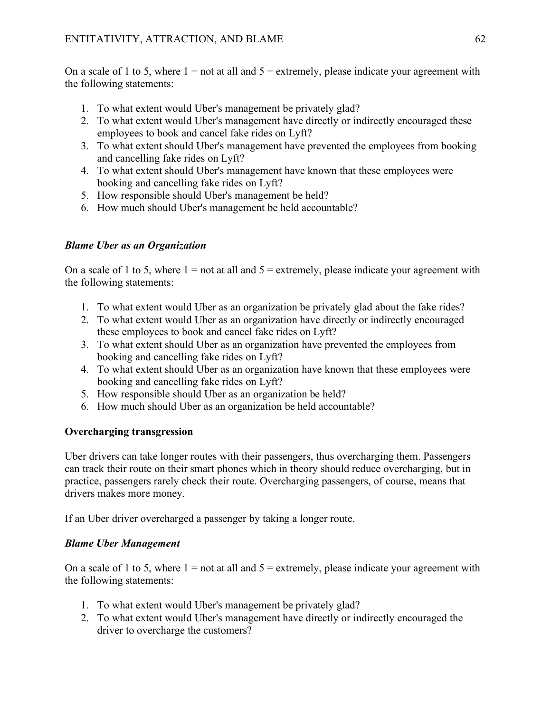On a scale of 1 to 5, where  $1 =$  not at all and  $5 =$  extremely, please indicate your agreement with the following statements:

- 1. To what extent would Uber's management be privately glad?
- 2. To what extent would Uber's management have directly or indirectly encouraged these employees to book and cancel fake rides on Lyft?
- 3. To what extent should Uber's management have prevented the employees from booking and cancelling fake rides on Lyft?
- 4. To what extent should Uber's management have known that these employees were booking and cancelling fake rides on Lyft?
- 5. How responsible should Uber's management be held?
- 6. How much should Uber's management be held accountable?

# *Blame Uber as an Organization*

On a scale of 1 to 5, where  $1 =$  not at all and  $5 =$  extremely, please indicate your agreement with the following statements:

- 1. To what extent would Uber as an organization be privately glad about the fake rides?
- 2. To what extent would Uber as an organization have directly or indirectly encouraged these employees to book and cancel fake rides on Lyft?
- 3. To what extent should Uber as an organization have prevented the employees from booking and cancelling fake rides on Lyft?
- 4. To what extent should Uber as an organization have known that these employees were booking and cancelling fake rides on Lyft?
- 5. How responsible should Uber as an organization be held?
- 6. How much should Uber as an organization be held accountable?

# **Overcharging transgression**

Uber drivers can take longer routes with their passengers, thus overcharging them. Passengers can track their route on their smart phones which in theory should reduce overcharging, but in practice, passengers rarely check their route. Overcharging passengers, of course, means that drivers makes more money.

If an Uber driver overcharged a passenger by taking a longer route.

# *Blame Uber Management*

On a scale of 1 to 5, where  $1 =$  not at all and  $5 =$  extremely, please indicate your agreement with the following statements:

- 1. To what extent would Uber's management be privately glad?
- 2. To what extent would Uber's management have directly or indirectly encouraged the driver to overcharge the customers?